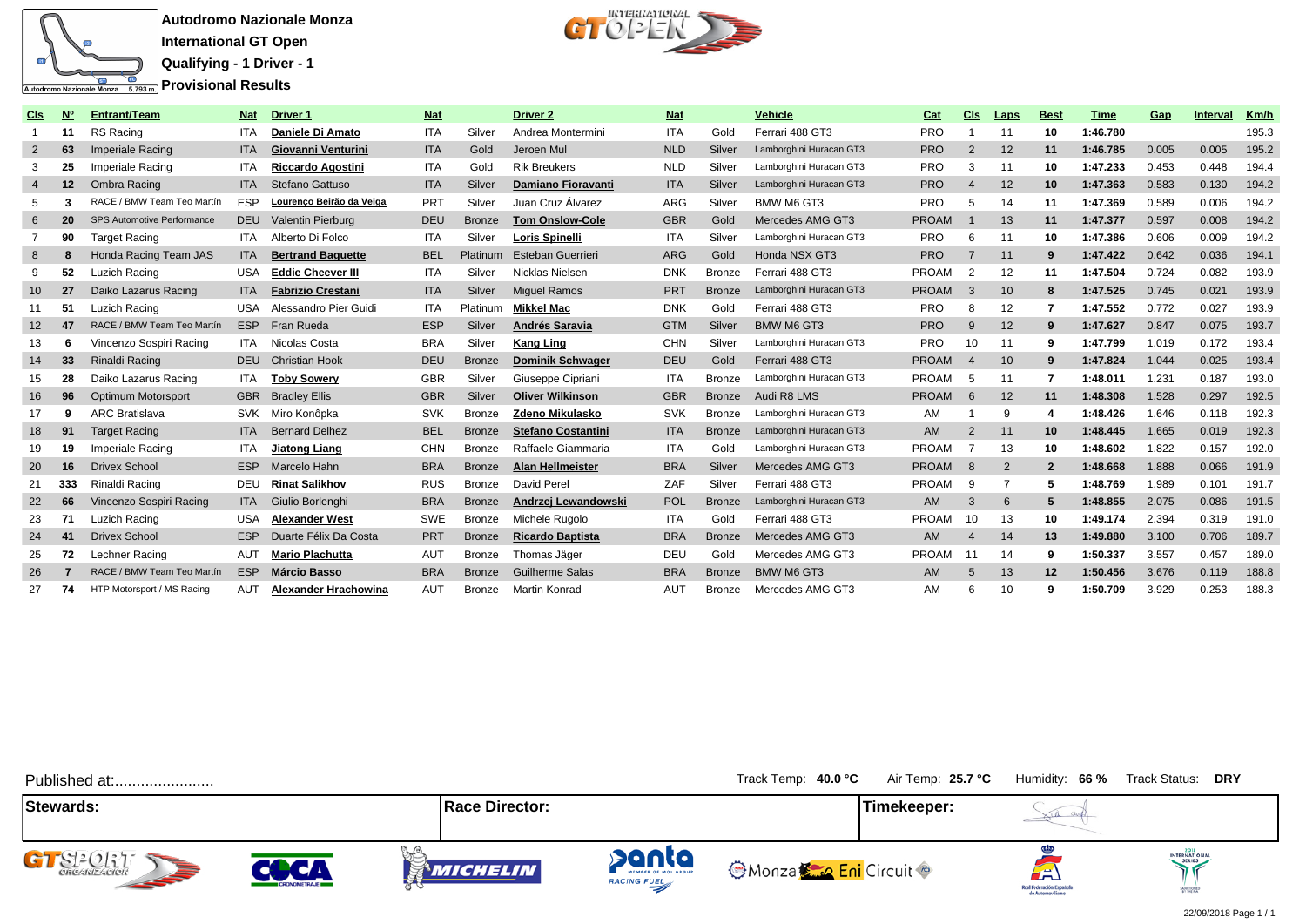

**Autodromo Nazionale Monza International GT Open**

**Qualifying - 1 Driver - 1**

**Provisional Results** 



| Cls               | $\overline{\mathsf{N}}$ | <b>Entrant/Team</b>        | <b>Nat</b> | <b>Driver 1</b>             | <b>Nat</b> |               | <b>Driver 2</b>           | <b>Nat</b> |               | Vehicle                 | Cat          | Cls            | <b>Laps</b> | <b>Best</b>       | <u>Time</u> | Gap   | <b>Interval</b> | <u>Km/h</u> |
|-------------------|-------------------------|----------------------------|------------|-----------------------------|------------|---------------|---------------------------|------------|---------------|-------------------------|--------------|----------------|-------------|-------------------|-------------|-------|-----------------|-------------|
|                   | -11                     | RS Racing                  | <b>ITA</b> | Daniele Di Amato            | <b>ITA</b> | Silver        | Andrea Montermini         | <b>ITA</b> | Gold          | Ferrari 488 GT3         | <b>PRO</b>   |                | 11          | 10                | 1:46.780    |       |                 | 195.3       |
| $\overline{2}$    | 63                      | Imperiale Racing           | <b>ITA</b> | Giovanni Venturini          | <b>ITA</b> | Gold          | Jeroen Mul                | <b>NLD</b> | Silver        | Lamborghini Huracan GT3 | <b>PRO</b>   | $\overline{2}$ | 12          | 11                | 1:46.785    | 0.005 | 0.005           | 195.2       |
| 3                 | 25                      | Imperiale Racing           | <b>ITA</b> | <b>Riccardo Agostini</b>    | <b>ITA</b> | Gold          | <b>Rik Breukers</b>       | <b>NLD</b> | Silver        | Lamborghini Huracan GT3 | <b>PRO</b>   | 3              | 11          | 10                | 1:47.233    | 0.453 | 0.448           | 194.4       |
| $\overline{4}$    | 12                      | Ombra Racing               | <b>ITA</b> | Stefano Gattuso             | <b>ITA</b> | Silver        | <b>Damiano Fioravanti</b> | <b>ITA</b> | Silver        | Lamborghini Huracan GT3 | <b>PRO</b>   |                | 12          | 10 <sup>1</sup>   | 1:47.363    | 0.583 | 0.130           | 194.2       |
| 5                 | 3                       | RACE / BMW Team Teo Martín | <b>ESP</b> | Lourenço Beirão da Veiga    | <b>PRT</b> | Silver        | Juan Cruz Álvarez         | ARG        | Silver        | BMW M6 GT3              | <b>PRO</b>   | 5              | 14          | 11                | 1:47.369    | 0.589 | 0.006           | 194.2       |
| 6                 | 20                      | SPS Automotive Performance | <b>DEU</b> | Valentin Pierburg           | DEU        | <b>Bronze</b> | <b>Tom Onslow-Cole</b>    | <b>GBR</b> | Gold          | Mercedes AMG GT3        | <b>PROAM</b> |                | 13          | 11                | 1:47.377    | 0.597 | 0.008           | 194.2       |
|                   | 90                      | <b>Target Racing</b>       | <b>ITA</b> | Alberto Di Folco            | <b>ITA</b> | Silver        | <b>Loris Spinelli</b>     | <b>ITA</b> | Silver        | Lamborghini Huracan GT3 | <b>PRO</b>   | 6              | 11          | 10                | 1:47.386    | 0.606 | 0.009           | 194.2       |
| 8                 | 8                       | Honda Racing Team JAS      | <b>ITA</b> | <b>Bertrand Baquette</b>    | <b>BEL</b> | Platinum      | <b>Esteban Guerrieri</b>  | <b>ARG</b> | Gold          | Honda NSX GT3           | <b>PRO</b>   |                | 11          | 9                 | 1:47.422    | 0.642 | 0.036           | 194.1       |
| 9                 | 52                      | Luzich Racing              | <b>USA</b> | <b>Eddie Cheever III</b>    | <b>ITA</b> | Silver        | Nicklas Nielsen           | <b>DNK</b> | <b>Bronze</b> | Ferrari 488 GT3         | <b>PROAM</b> | $\overline{2}$ | 12          | 11                | 1:47.504    | 0.724 | 0.082           | 193.9       |
| 10 <sup>°</sup>   | 27                      | Daiko Lazarus Racing       | <b>ITA</b> | <b>Fabrizio Crestani</b>    | <b>ITA</b> | Silver        | <b>Miquel Ramos</b>       | PRT        | <b>Bronze</b> | Lamborghini Huracan GT3 | <b>PROAM</b> | 3              | 10          | 8                 | 1:47.525    | 0.745 | 0.021           | 193.9       |
| 11                | 51                      | Luzich Racing              | <b>USA</b> | Alessandro Pier Guidi       | <b>ITA</b> | Platinum      | <b>Mikkel Mac</b>         | <b>DNK</b> | Gold          | Ferrari 488 GT3         | <b>PRO</b>   | 8              | 12          |                   | 1:47.552    | 0.772 | 0.027           | 193.9       |
| $12 \overline{ }$ | 47                      | RACE / BMW Team Teo Martín | <b>ESP</b> | Fran Rueda                  | <b>ESP</b> | Silver        | Andrés Saravia            | <b>GTM</b> | Silver        | <b>BMW M6 GT3</b>       | <b>PRO</b>   | 9              | 12          | 9                 | 1:47.627    | 0.847 | 0.075           | 193.7       |
| 13                | 6                       | Vincenzo Sospiri Racing    | <b>ITA</b> | Nicolas Costa               | <b>BRA</b> | Silver        | <b>Kang Ling</b>          | CHN        | Silver        | Lamborghini Huracan GT3 | <b>PRO</b>   | 10             | 11          | 9                 | 1:47.799    | 1.019 | 0.172           | 193.4       |
| 14                | 33                      | Rinaldi Racing             | <b>DEU</b> | <b>Christian Hook</b>       | <b>DEU</b> | <b>Bronze</b> | <b>Dominik Schwager</b>   | DEU        | Gold          | Ferrari 488 GT3         | <b>PROAM</b> |                | 10          | 9                 | 1:47.824    | 1.044 | 0.025           | 193.4       |
| 15                | 28                      | Daiko Lazarus Racing       | <b>ITA</b> | <b>Toby Sowery</b>          | <b>GBR</b> | Silver        | Giuseppe Cipriani         | <b>ITA</b> | <b>Bronze</b> | Lamborghini Huracan GT3 | <b>PROAM</b> | -5             | 11          |                   | 1:48.011    | 1.231 | 0.187           | 193.0       |
| 16                | 96                      | Optimum Motorsport         | <b>GBR</b> | <b>Bradlev Ellis</b>        | <b>GBR</b> | Silver        | <b>Oliver Wilkinson</b>   | <b>GBR</b> | <b>Bronze</b> | Audi R8 LMS             | <b>PROAM</b> | 6              | 12          | 11                | 1:48.308    | 1.528 | 0.297           | 192.5       |
| 17                | 9                       | <b>ARC Bratislava</b>      | <b>SVK</b> | Miro Konôpka                | <b>SVK</b> | <b>Bronze</b> | <b>Zdeno Mikulasko</b>    | <b>SVK</b> | <b>Bronze</b> | Lamborghini Huracan GT3 | AM           |                | 9           | 4                 | 1:48.426    | 1.646 | 0.118           | 192.3       |
| 18                | 91                      | <b>Target Racing</b>       | <b>ITA</b> | <b>Bernard Delhez</b>       | <b>BEL</b> | <b>Bronze</b> | <b>Stefano Costantini</b> | <b>ITA</b> | <b>Bronze</b> | Lamborghini Huracan GT3 | AM           | $\overline{2}$ | 11          | 10 <sup>1</sup>   | 1:48.445    | 1.665 | 0.019           | 192.3       |
| 19                | 19                      | Imperiale Racing           | <b>ITA</b> | Jiatong Liang               | CHN        | <b>Bronze</b> | Raffaele Giammaria        | <b>ITA</b> | Gold          | Lamborghini Huracan GT3 | <b>PROAM</b> | -7             | 13          | 10                | 1:48.602    | 1.822 | 0.157           | 192.0       |
| 20                | 16                      | <b>Drivex School</b>       | <b>ESP</b> | Marcelo Hahn                | <b>BRA</b> | <b>Bronze</b> | <b>Alan Hellmeister</b>   | <b>BRA</b> | Silver        | Mercedes AMG GT3        | <b>PROAM</b> | 8              | 2           | $\overline{2}$    | 1:48.668    | 1.888 | 0.066           | 191.9       |
| 21                | 333                     | Rinaldi Racing             | <b>DEU</b> | <b>Rinat Salikhov</b>       | <b>RUS</b> | Bronze        | David Perel               | ZAF        | Silver        | Ferrari 488 GT3         | <b>PROAM</b> | -9             |             | 5                 | 1:48.769    | 1.989 | 0.101           | 191.7       |
| 22                | 66                      | Vincenzo Sospiri Racing    | <b>ITA</b> | Giulio Borlenghi            | <b>BRA</b> | <b>Bronze</b> | Andrzej Lewandowski       | POL        | <b>Bronze</b> | Lamborghini Huracan GT3 | <b>AM</b>    | 3              | 6           | 5                 | 1:48.855    | 2.075 | 0.086           | 191.5       |
| 23                | 71                      | Luzich Racing              | <b>USA</b> | <b>Alexander West</b>       | SWE        | <b>Bronze</b> | Michele Rugolo            | <b>ITA</b> | Gold          | Ferrari 488 GT3         | <b>PROAM</b> | 10             | 13          | 10                | 1:49.174    | 2.394 | 0.319           | 191.0       |
| 24                | 41                      | <b>Drivex School</b>       | <b>ESP</b> | Duarte Félix Da Costa       | PRT        | <b>Bronze</b> | <b>Ricardo Baptista</b>   | <b>BRA</b> | <b>Bronze</b> | Mercedes AMG GT3        | AM           |                | 14          | 13                | 1:49.880    | 3.100 | 0.706           | 189.7       |
| 25                | 72                      | Lechner Racing             | <b>AUT</b> | Mario Plachutta             | AUT        | <b>Bronze</b> | Thomas Jäger              | DEU        | Gold          | Mercedes AMG GT3        | <b>PROAM</b> | 11             | 14          | 9                 | 1:50.337    | 3.557 | 0.457           | 189.0       |
| 26                | 7                       | RACE / BMW Team Teo Martín | <b>ESP</b> | <b>Márcio Basso</b>         | <b>BRA</b> | <b>Bronze</b> | <b>Guilherme Salas</b>    | <b>BRA</b> | <b>Bronze</b> | <b>BMW M6 GT3</b>       | <b>AM</b>    | 5              | 13          | $12 \overline{ }$ | 1:50.456    | 3.676 | 0.119           | 188.8       |
| 27                | 74                      | HTP Motorsport / MS Racing | <b>AUT</b> | <b>Alexander Hrachowina</b> | <b>AUT</b> | Bronze        | <b>Martin Konrad</b>      | <b>AUT</b> | <b>Bronze</b> | Mercedes AMG GT3        | AM           | 6              | 10          | q                 | 1:50.709    | 3.929 | 0.253           | 188.3       |

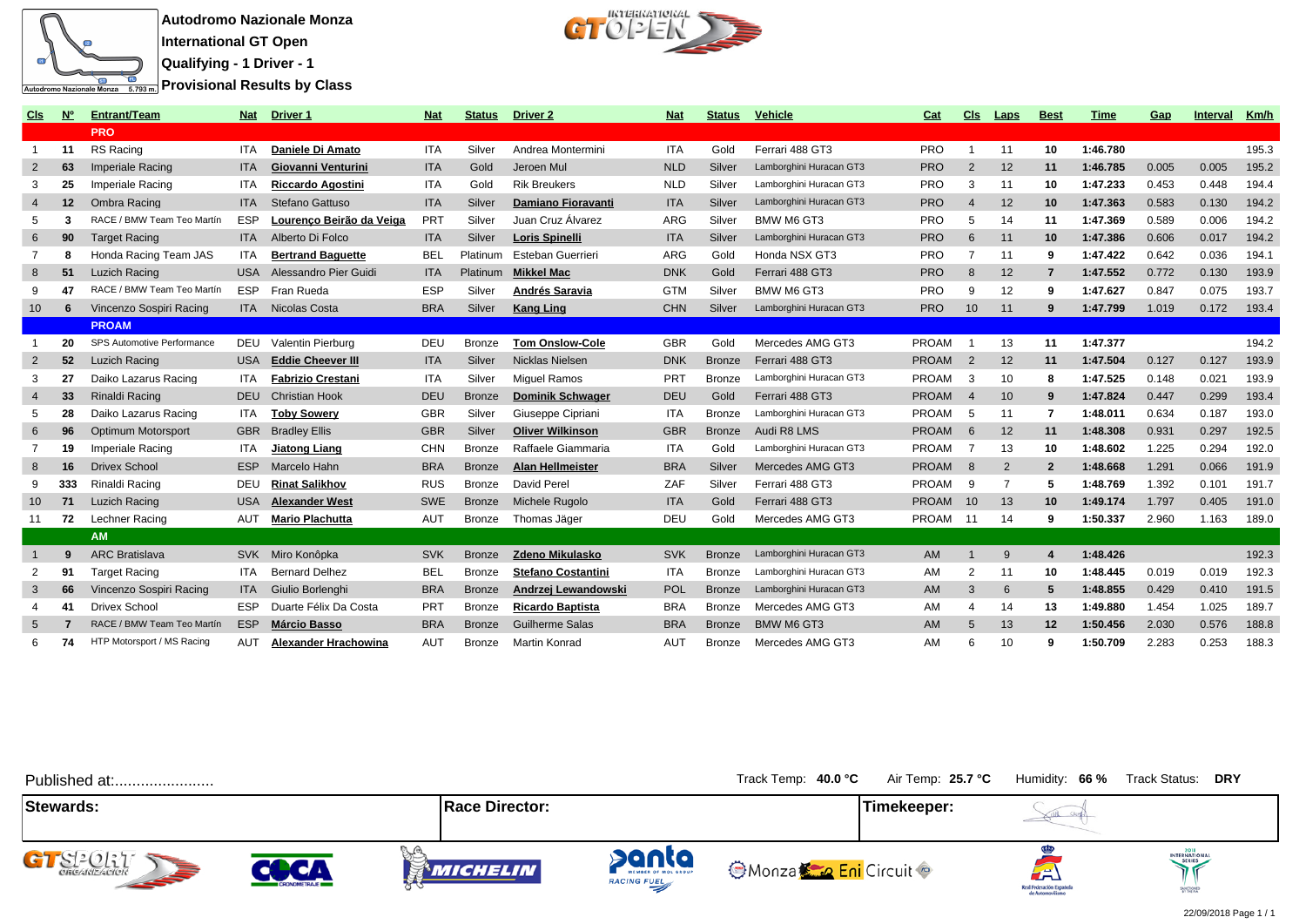

**Autodromo Nazionale Monza**

**International GT Open Qualifying - 1 Driver - 1**

**Provisional Results by Class** 



| Cis             | <u>Nº</u>         | <b>Entrant/Team</b>        | <b>Nat</b> | Driver <sub>1</sub>      | <b>Nat</b> | <b>Status</b> | Driver 2                  | <b>Nat</b> | <b>Status</b> | <u>Vehicle</u>          | Cat                | Cls             | <b>Laps</b> | <b>Best</b>            | <b>Time</b> | Gap   | <b>Interval</b> | <u>Km/h</u> |
|-----------------|-------------------|----------------------------|------------|--------------------------|------------|---------------|---------------------------|------------|---------------|-------------------------|--------------------|-----------------|-------------|------------------------|-------------|-------|-----------------|-------------|
|                 |                   | <b>PRO</b>                 |            |                          |            |               |                           |            |               |                         |                    |                 |             |                        |             |       |                 |             |
| $\overline{1}$  | 11                | RS Racing                  | <b>ITA</b> | Daniele Di Amato         | <b>ITA</b> | Silver        | Andrea Montermini         | <b>ITA</b> | Gold          | Ferrari 488 GT3         | <b>PRO</b>         | $\overline{1}$  | 11          | 10                     | 1:46.780    |       |                 | 195.3       |
| $\overline{2}$  | 63                | <b>Imperiale Racing</b>    | <b>ITA</b> | Giovanni Venturini       | <b>ITA</b> | Gold          | Jeroen Mul                | <b>NLD</b> | Silver        | Lamborghini Huracan GT3 | <b>PRO</b>         | $\overline{2}$  | 12          | 11                     | 1:46.785    | 0.005 | 0.005           | 195.2       |
| 3               | 25                | <b>Imperiale Racing</b>    | <b>ITA</b> | <b>Riccardo Agostini</b> | <b>ITA</b> | Gold          | <b>Rik Breukers</b>       | <b>NLD</b> | Silver        | Lamborghini Huracan GT3 | <b>PRO</b>         | -3              | 11          | 10                     | 1:47.233    | 0.453 | 0.448           | 194.4       |
| $\overline{4}$  | $12 \overline{ }$ | Ombra Racing               | <b>ITA</b> | Stefano Gattuso          | <b>ITA</b> | Silver        | <b>Damiano Fioravanti</b> | <b>ITA</b> | Silver        | Lamborghini Huracan GT3 | <b>PRO</b>         | $\overline{4}$  | 12          | 10                     | 1:47.363    | 0.583 | 0.130           | 194.2       |
| 5               | -3                | RACE / BMW Team Teo Martín | ESP        | Lourenco Beirão da Veiga | PRT        | Silver        | Juan Cruz Álvarez         | ARG        | Silver        | BMW M6 GT3              | <b>PRO</b>         | -5              | 14          | 11                     | 1:47.369    | 0.589 | 0.006           | 194.2       |
| 6               | 90                | <b>Target Racing</b>       | <b>ITA</b> | Alberto Di Folco         | <b>ITA</b> | Silver        | <b>Loris Spinelli</b>     | <b>ITA</b> | Silver        | Lamborghini Huracan GT3 | <b>PRO</b>         | 6               | 11          | 10                     | 1:47.386    | 0.606 | 0.017           | 194.2       |
| -7              | 8                 | Honda Racing Team JAS      | <b>ITA</b> | <b>Bertrand Baquette</b> | <b>BEL</b> | Platinum      | Esteban Guerrieri         | ARG        | Gold          | Honda NSX GT3           | <b>PRO</b>         | -7              | 11          | -9                     | 1:47.422    | 0.642 | 0.036           | 194.1       |
| 8               | 51                | Luzich Racing              | <b>USA</b> | Alessandro Pier Guidi    | <b>ITA</b> | Platinum      | <b>Mikkel Mac</b>         | <b>DNK</b> | Gold          | Ferrari 488 GT3         | <b>PRO</b>         | 8               | 12          | $\overline{7}$         | 1:47.552    | 0.772 | 0.130           | 193.9       |
| 9               | 47                | RACE / BMW Team Teo Martín | <b>ESP</b> | Fran Rueda               | <b>ESP</b> | Silver        | Andrés Saravia            | GTM        | Silver        | BMW M6 GT3              | <b>PRO</b>         | -9              | 12          | 9                      | 1:47.627    | 0.847 | 0.075           | 193.7       |
| 10              | -6                | Vincenzo Sospiri Racing    |            | <b>ITA</b> Nicolas Costa | <b>BRA</b> | Silver        | <b>Kang Ling</b>          | <b>CHN</b> | Silver        | Lamborghini Huracan GT3 | <b>PRO</b>         | 10 <sup>1</sup> | 11          | 9                      | 1:47.799    | 1.019 | 0.172           | 193.4       |
|                 |                   | <b>PROAM</b>               |            |                          |            |               |                           |            |               |                         |                    |                 |             |                        |             |       |                 |             |
|                 | 20                | SPS Automotive Performance | DEU        | Valentin Pierburg        | DEU        | <b>Bronze</b> | <b>Tom Onslow-Cole</b>    | <b>GBR</b> | Gold          | Mercedes AMG GT3        | <b>PROAM</b>       | $\overline{1}$  | 13          | 11                     | 1:47.377    |       |                 | 194.2       |
| $\overline{2}$  | 52                | <b>Luzich Racing</b>       | <b>USA</b> | <b>Eddie Cheever III</b> | <b>ITA</b> | Silver        | Nicklas Nielsen           | <b>DNK</b> | <b>Bronze</b> | Ferrari 488 GT3         | PROAM <sub>2</sub> |                 | 12          | 11                     | 1:47.504    | 0.127 | 0.127           | 193.9       |
| -3              | 27                | Daiko Lazarus Racing       | <b>ITA</b> | <b>Fabrizio Crestani</b> | <b>ITA</b> | Silver        | <b>Miquel Ramos</b>       | <b>PRT</b> | <b>Bronze</b> | Lamborghini Huracan GT3 | PROAM <sub>3</sub> |                 | 10          | 8                      | 1:47.525    | 0.148 | 0.021           | 193.9       |
| $\overline{4}$  | 33                | Rinaldi Racing             | <b>DEU</b> | <b>Christian Hook</b>    | <b>DEU</b> | <b>Bronze</b> | <b>Dominik Schwager</b>   | DEU        | Gold          | Ferrari 488 GT3         | <b>PROAM</b>       | $\overline{4}$  | 10          | 9                      | 1:47.824    | 0.447 | 0.299           | 193.4       |
| 5               | 28                | Daiko Lazarus Racing       | <b>ITA</b> | <b>Toby Sowerv</b>       | <b>GBR</b> | Silver        | Giuseppe Cipriani         | <b>ITA</b> | <b>Bronze</b> | Lamborghini Huracan GT3 | PROAM              | - 5             | 11          | 7                      | 1:48.011    | 0.634 | 0.187           | 193.0       |
| 6               | 96                | Optimum Motorsport         | <b>GBR</b> | <b>Bradley Ellis</b>     | <b>GBR</b> | Silver        | <b>Oliver Wilkinson</b>   | <b>GBR</b> | <b>Bronze</b> | Audi R8 LMS             | <b>PROAM</b>       | 6               | 12          | 11                     | 1:48.308    | 0.931 | 0.297           | 192.5       |
| -7              | 19                | Imperiale Racing           | ITA.       | Jiatong Liang            | <b>CHN</b> | <b>Bronze</b> | Raffaele Giammaria        | <b>ITA</b> | Gold          | Lamborghini Huracan GT3 | <b>PROAM</b>       | -7              | 13          | 10                     | 1:48.602    | 1.225 | 0.294           | 192.0       |
| 8               | 16                | Drivex School              | <b>ESP</b> | Marcelo Hahn             | <b>BRA</b> | <b>Bronze</b> | <b>Alan Hellmeister</b>   | <b>BRA</b> | Silver        | Mercedes AMG GT3        | <b>PROAM</b>       | 8               | 2           | $\overline{2}$         | 1:48.668    | 1.291 | 0.066           | 191.9       |
| 9               | 333               | Rinaldi Racing             | <b>DEU</b> | <b>Rinat Salikhov</b>    | <b>RUS</b> | <b>Bronze</b> | David Perel               | ZAF        | Silver        | Ferrari 488 GT3         | <b>PROAM</b>       | -9              | 7           | 5                      | 1:48.769    | 1.392 | 0.101           | 191.7       |
| 10 <sup>°</sup> | 71                | Luzich Racing              | <b>USA</b> | <b>Alexander West</b>    | <b>SWE</b> | <b>Bronze</b> | Michele Rugolo            | <b>ITA</b> | Gold          | Ferrari 488 GT3         | <b>PROAM</b>       | 10              | 13          | 10                     | 1:49.174    | 1.797 | 0.405           | 191.0       |
| 11              | 72                | Lechner Racing             | <b>AUT</b> | <b>Mario Plachutta</b>   | <b>AUT</b> | Bronze        | Thomas Jäger              | DEU        | Gold          | Mercedes AMG GT3        | PROAM 11           |                 | 14          | 9                      | 1:50.337    | 2.960 | 1.163           | 189.0       |
|                 |                   | <b>AM</b>                  |            |                          |            |               |                           |            |               |                         |                    |                 |             |                        |             |       |                 |             |
|                 | 9                 | <b>ARC Bratislava</b>      |            | SVK Miro Konôpka         | <b>SVK</b> | <b>Bronze</b> | Zdeno Mikulasko           | <b>SVK</b> | <b>Bronze</b> | Lamborghini Huracan GT3 | AM                 |                 | 9           | $\boldsymbol{\Lambda}$ | 1:48.426    |       |                 | 192.3       |
| $\overline{2}$  | 91                | <b>Target Racing</b>       |            | <b>Bernard Delhez</b>    | <b>BEL</b> | <b>Bronze</b> | <b>Stefano Costantini</b> | <b>ITA</b> | <b>Bronze</b> | Lamborghini Huracan GT3 | AM                 | $\overline{2}$  | 11          | 10                     | 1:48.445    | 0.019 | 0.019           | 192.3       |
| 3               | 66                | Vincenzo Sospiri Racing    | <b>ITA</b> | Giulio Borlenghi         | <b>BRA</b> | <b>Bronze</b> | Andrzei Lewandowski       | POL        | <b>Bronze</b> | Lamborghini Huracan GT3 | AM                 | $\mathbf{3}$    | 6           | 5                      | 1:48.855    | 0.429 | 0.410           | 191.5       |
| $\overline{4}$  | 41                | <b>Drivex School</b>       | <b>ESP</b> | Duarte Félix Da Costa    | PRT        | <b>Bronze</b> | <b>Ricardo Baptista</b>   | <b>BRA</b> | <b>Bronze</b> | Mercedes AMG GT3        | AM                 | $\overline{4}$  | 14          | 13                     | 1:49.880    | 1.454 | 1.025           | 189.7       |
| 5               |                   | RACE / BMW Team Teo Martín | <b>ESP</b> | <b>Márcio Basso</b>      | <b>BRA</b> | <b>Bronze</b> | <b>Guilherme Salas</b>    | <b>BRA</b> | <b>Bronze</b> | <b>BMW M6 GT3</b>       | AM                 | 5               | 13          | 12                     | 1:50.456    | 2.030 | 0.576           | 188.8       |
| 6               | 74                | HTP Motorsport / MS Racing | <b>AUT</b> | Alexander Hrachowina     | <b>AUT</b> | <b>Bronze</b> | <b>Martin Konrad</b>      | <b>AUT</b> | <b>Bronze</b> | Mercedes AMG GT3        | AM                 | 6               | 10          | 9                      | 1:50.709    | 2.283 | 0.253           | 188.3       |



22/09/2018 Page 1 / 1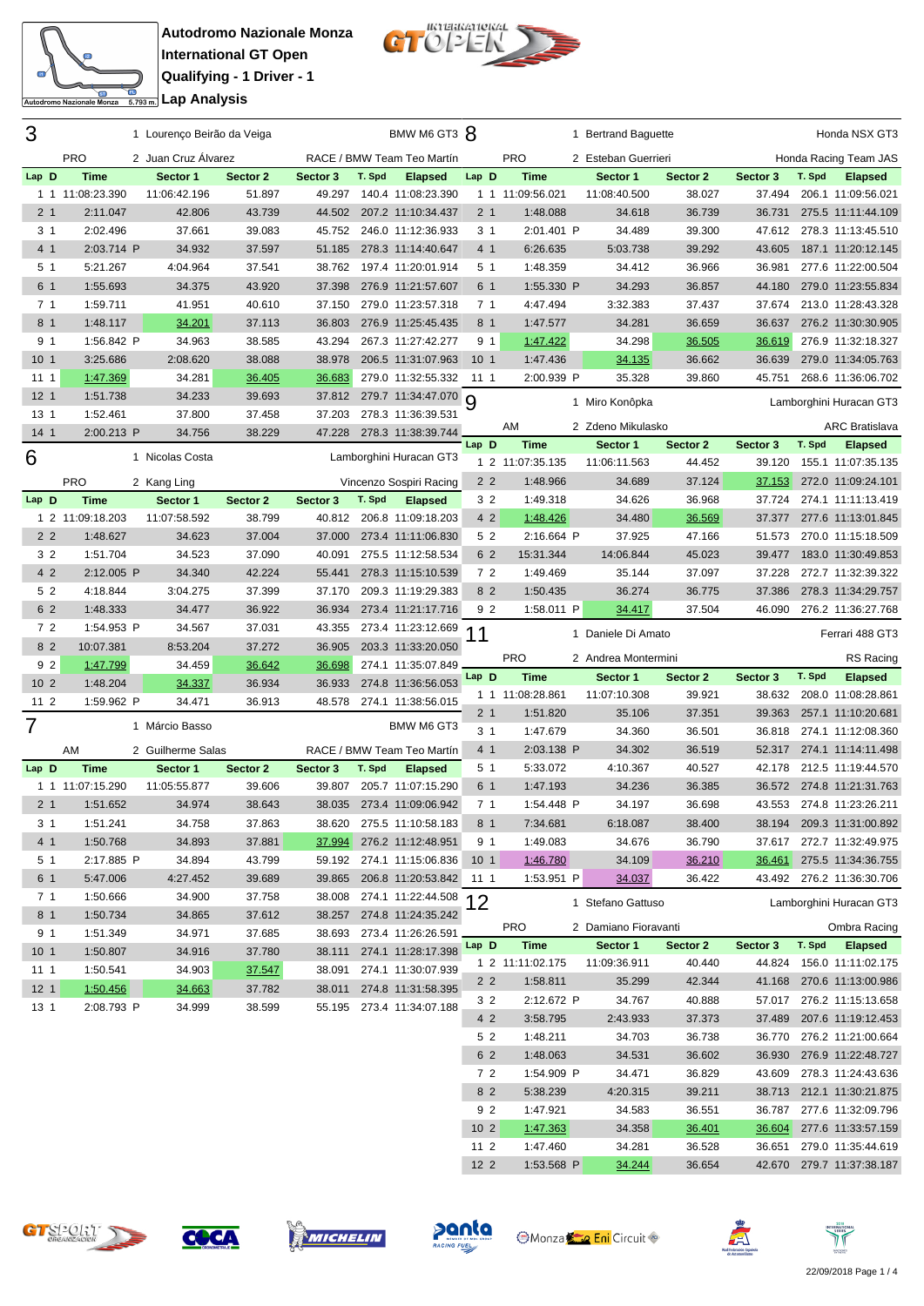

Autodromo Nazionale Monza



| 3                  |                             |                          |          | 1 Lourenço Beirão da Veiga |                    |        | BMW M6 GT3 8                         |                                  |                                 | 1 Bertrand Baguette      |                    |                    |        | Honda NSX GT3                                   |
|--------------------|-----------------------------|--------------------------|----------|----------------------------|--------------------|--------|--------------------------------------|----------------------------------|---------------------------------|--------------------------|--------------------|--------------------|--------|-------------------------------------------------|
|                    |                             |                          |          |                            |                    |        |                                      |                                  |                                 |                          |                    |                    |        |                                                 |
|                    | <b>PRO</b>                  | 2 Juan Cruz Alvarez      |          |                            |                    |        | RACE / BMW Team Teo Martín           |                                  | <b>PRO</b>                      | 2 Esteban Guerrieri      |                    |                    |        | Honda Racing Team JAS                           |
| Lap D<br>$1\quad1$ | <b>Time</b><br>11:08:23.390 | Sector 1<br>11:06:42.196 |          | Sector 2<br>51.897         | Sector 3<br>49.297 | T. Spd | <b>Elapsed</b><br>140.4 11:08:23.390 | Lap D                            | <b>Time</b><br>1 1 11:09:56.021 | Sector 1<br>11:08:40.500 | Sector 2<br>38.027 | Sector 3<br>37.494 | T. Spd | <b>Elapsed</b><br>206.1 11:09:56.021            |
| 2 <sub>1</sub>     | 2:11.047                    |                          | 42.806   | 43.739                     | 44.502             |        | 207.2 11:10:34.437                   | 2 <sub>1</sub>                   | 1:48.088                        | 34.618                   | 36.739             | 36.731             |        | 275.5 11:11:44.109                              |
| 31                 | 2:02.496                    |                          | 37.661   | 39.083                     | 45.752             |        | 246.0 11:12:36.933                   | 3 <sub>1</sub>                   | 2:01.401 P                      | 34.489                   | 39.300             | 47.612             |        | 278.3 11:13:45.510                              |
| 4 1                | 2:03.714 P                  |                          | 34.932   | 37.597                     | 51.185             |        | 278.3 11:14:40.647                   | 4 <sub>1</sub>                   | 6:26.635                        | 5:03.738                 | 39.292             | 43.605             |        | 187.1 11:20:12.145                              |
| 5 1                | 5:21.267                    |                          | 4:04.964 | 37.541                     | 38.762             |        | 197.4 11:20:01.914                   | 5 <sub>1</sub>                   | 1:48.359                        | 34.412                   | 36.966             | 36.981             |        | 277.6 11:22:00.504                              |
| 6 1                | 1:55.693                    |                          | 34.375   | 43.920                     | 37.398             |        | 276.9 11:21:57.607                   | 6 1                              | 1:55.330 P                      | 34.293                   | 36.857             | 44.180             |        | 279.0 11:23:55.834                              |
| 71                 | 1:59.711                    |                          | 41.951   | 40.610                     | 37.150             |        | 279.0 11:23:57.318                   | 7 <sub>1</sub>                   | 4:47.494                        | 3:32.383                 | 37.437             | 37.674             |        | 213.0 11:28:43.328                              |
| 8 <sub>1</sub>     | 1:48.117                    |                          | 34.201   | 37.113                     | 36.803             |        | 276.9 11:25:45.435                   | 8 <sub>1</sub>                   | 1:47.577                        | 34.281                   | 36.659             | 36.637             |        | 276.2 11:30:30.905                              |
| 9 <sub>1</sub>     | 1:56.842 P                  |                          | 34.963   | 38.585                     | 43.294             |        | 267.3 11:27:42.277                   | 9 1                              | 1:47.422                        | 34.298                   | 36.505             | 36.619             |        | 276.9 11:32:18.327                              |
| 10 <sub>1</sub>    | 3:25.686                    |                          | 2:08.620 | 38.088                     | 38.978             |        | 206.5 11:31:07.963                   | 10 <sub>1</sub>                  | 1:47.436                        | 34.135                   | 36.662             | 36.639             |        | 279.0 11:34:05.763                              |
| 11 1               | 1:47.369                    |                          | 34.281   | 36.405                     | 36.683             |        | 279.0 11:32:55.332                   | 111                              | 2:00.939 P                      | 35.328                   | 39.860             | 45.751             |        | 268.6 11:36:06.702                              |
| 12 <sub>1</sub>    | 1:51.738                    |                          | 34.233   | 39.693                     |                    |        | 37.812 279.7 11:34:47.070 9          |                                  |                                 |                          |                    |                    |        |                                                 |
| 13 <sub>1</sub>    | 1:52.461                    |                          | 37.800   | 37.458                     | 37.203             |        | 278.3 11:36:39.531                   |                                  |                                 | 1 Miro Konôpka           |                    |                    |        | Lamborghini Huracan GT3                         |
| 14 <sub>1</sub>    | 2:00.213 P                  |                          | 34.756   | 38.229                     | 47.228             |        | 278.3 11:38:39.744                   |                                  | AM                              | 2 Zdeno Mikulasko        |                    |                    |        | <b>ARC Bratislava</b>                           |
|                    |                             |                          |          |                            |                    |        |                                      | Lap D                            | <b>Time</b>                     | Sector 1                 | Sector 2           | Sector 3           | T. Spd | <b>Elapsed</b>                                  |
| 6                  |                             | 1 Nicolas Costa          |          |                            |                    |        | Lamborghini Huracan GT3              |                                  | 1 2 11:07:35.135                | 11:06:11.563             | 44.452             | 39.120             |        | 155.1 11:07:35.135                              |
|                    | <b>PRO</b>                  | 2 Kang Ling              |          |                            |                    |        | Vincenzo Sospiri Racing              | 2 <sub>2</sub>                   | 1:48.966                        | 34.689                   | 37.124             | 37.153             |        | 272.0 11:09:24.101                              |
| Lap D              | <b>Time</b>                 | Sector 1                 |          | Sector 2                   | Sector 3           | T. Spd | <b>Elapsed</b>                       | 3 <sub>2</sub>                   | 1:49.318                        | 34.626                   | 36.968             | 37.724             |        | 274.1 11:11:13.419                              |
|                    | 1 2 11:09:18.203            | 11:07:58.592             |          | 38.799                     | 40.812             |        | 206.8 11:09:18.203                   | 4 2                              | 1:48.426                        | 34.480                   | 36.569             | 37.377             |        | 277.6 11:13:01.845                              |
| 2 <sub>2</sub>     | 1:48.627                    |                          | 34.623   | 37.004                     | 37.000             |        | 273.4 11:11:06.830                   | 5 2                              | 2:16.664 P                      | 37.925                   | 47.166             | 51.573             |        | 270.0 11:15:18.509                              |
| 3 2                | 1:51.704                    |                          | 34.523   | 37.090                     | 40.091             |        | 275.5 11:12:58.534                   | 6 2                              | 15:31.344                       | 14:06.844                | 45.023             | 39.477             |        | 183.0 11:30:49.853                              |
| 4 2                | 2:12.005 P                  |                          | 34.340   | 42.224                     | 55.441             |        | 278.3 11:15:10.539                   | 72                               | 1:49.469                        | 35.144                   | 37.097             | 37.228             |        | 272.7 11:32:39.322                              |
| 5 2                | 4:18.844                    |                          | 3:04.275 | 37.399                     | 37.170             |        | 209.3 11:19:29.383                   | 8 2                              | 1:50.435                        | 36.274                   | 36.775             | 37.386             |        | 278.3 11:34:29.757                              |
| 6 2                | 1:48.333                    |                          | 34.477   | 36.922                     | 36.934             |        | 273.4 11:21:17.716                   | 9 2                              | 1:58.011 P                      | 34.417                   | 37.504             | 46.090             |        | 276.2 11:36:27.768                              |
|                    |                             |                          |          |                            |                    |        |                                      |                                  |                                 |                          |                    |                    |        |                                                 |
| 72                 | 1:54.953 P                  |                          | 34.567   | 37.031                     | 43.355             |        | 273.4 11:23:12.669                   | 11                               |                                 | 1 Daniele Di Amato       |                    |                    |        | Ferrari 488 GT3                                 |
| 8 2                | 10:07.381                   |                          | 8:53.204 | 37.272                     | 36.905             |        | 203.3 11:33:20.050                   |                                  |                                 |                          |                    |                    |        |                                                 |
| 9 <sub>2</sub>     | 1:47.799                    |                          | 34.459   | 36.642                     | 36.698             |        | 274.1 11:35:07.849                   |                                  | <b>PRO</b>                      | 2 Andrea Montermini      |                    |                    |        | RS Racing                                       |
| 10 <sub>2</sub>    | 1:48.204                    |                          | 34.337   | 36.934                     | 36.933             |        | 274.8 11:36:56.053                   | Lap D                            | <b>Time</b>                     | Sector 1                 | Sector 2<br>39.921 | Sector 3<br>38.632 | T. Spd | <b>Elapsed</b><br>208.0 11:08:28.861            |
| 11 <sub>2</sub>    | 1:59.962 P                  |                          | 34.471   | 36.913                     | 48.578             |        | 274.1 11:38:56.015                   |                                  | 1 1 11:08:28.861                | 11:07:10.308             |                    |                    |        |                                                 |
| $\overline{7}$     |                             | 1 Márcio Basso           |          |                            |                    |        | BMW M6 GT3                           | 2 <sub>1</sub><br>3 <sub>1</sub> | 1:51.820<br>1:47.679            | 35.106<br>34.360         | 37.351<br>36.501   | 39.363<br>36.818   |        | 257.1 11:10:20.681<br>274.1 11:12:08.360        |
|                    | AM                          | 2 Guilherme Salas        |          |                            |                    |        | RACE / BMW Team Teo Martín           | 4 1                              | 2:03.138 P                      | 34.302                   | 36.519             | 52.317             |        | 274.1 11:14:11.498                              |
| Lap D              | <b>Time</b>                 | Sector 1                 |          | Sector 2                   | Sector 3           | T. Spd | <b>Elapsed</b>                       | 5 <sub>1</sub>                   | 5:33.072                        | 4:10.367                 | 40.527             | 42.178             |        | 212.5 11:19:44.570                              |
|                    | 1 1 11:07:15.290            | 11:05:55.877             |          | 39.606                     | 39.807             |        | 205.7 11:07:15.290                   | 6 1                              | 1:47.193                        | 34.236                   | 36.385             |                    |        | 36.572 274.8 11:21:31.763                       |
| 2 <sub>1</sub>     | 1:51.652                    |                          | 34.974   | 38.643                     | 38.035             |        | 273.4 11:09:06.942                   | 7 <sub>1</sub>                   | 1:54.448 P                      | 34.197                   | 36.698             |                    |        | 43.553 274.8 11:23:26.211                       |
| 31                 | 1:51.241                    |                          | 34.758   | 37.863                     | 38.620             |        | 275.5 11:10:58.183                   | 8 1                              | 7:34.681                        | 6:18.087                 | 38.400             |                    |        | 38.194 209.3 11:31:00.892                       |
| 4 1                | 1:50.768                    |                          | 34.893   | 37.881                     | 37.994             |        | 276.2 11:12:48.951                   | 9 1                              | 1:49.083                        | 34.676                   | 36.790             |                    |        | 37.617 272.7 11:32:49.975                       |
| 5 1                | 2:17.885 P                  |                          | 34.894   | 43.799                     | 59.192             |        | 274.1 11:15:06.836                   | 10 <sub>1</sub>                  | 1:46.780                        | 34.109                   | 36.210             | <u>36.461</u>      |        | 275.5 11:34:36.755                              |
| 6 1                | 5:47.006                    |                          | 4:27.452 | 39.689                     | 39.865             |        | 206.8 11:20:53.842                   | 11 1                             | 1:53.951 P                      | 34.037                   | 36.422             |                    |        | 43.492 276.2 11:36:30.706                       |
| 71                 | 1:50.666                    |                          | 34.900   | 37.758                     | 38.008             |        | 274.1 11:22:44.508                   |                                  |                                 |                          |                    |                    |        |                                                 |
| 8 <sub>1</sub>     | 1:50.734                    |                          | 34.865   | 37.612                     | 38.257             |        | 274.8 11:24:35.242                   | 12                               |                                 | 1 Stefano Gattuso        |                    |                    |        | Lamborghini Huracan GT3                         |
| 9 1                | 1:51.349                    |                          | 34.971   | 37.685                     | 38.693             |        | 273.4 11:26:26.591                   |                                  | <b>PRO</b>                      | 2 Damiano Fioravanti     |                    |                    |        | Ombra Racing                                    |
| 101                | 1:50.807                    |                          | 34.916   | 37.780                     | 38.111             |        | 274.1 11:28:17.398                   | Lap D                            | Time                            | Sector 1                 | Sector 2           | Sector 3           | T. Spd | <b>Elapsed</b>                                  |
| 111                | 1:50.541                    |                          | 34.903   | 37.547                     | 38.091             |        | 274.1 11:30:07.939                   |                                  | 1 2 11:11:02.175                | 11:09:36.911             | 40.440             |                    |        | 44.824 156.0 11:11:02.175                       |
| 12 <sub>1</sub>    | 1:50.456                    |                          | 34.663   | 37.782                     | 38.011             |        | 274.8 11:31:58.395                   | 2 <sub>2</sub>                   | 1:58.811                        | 35.299                   | 42.344             |                    |        | 41.168 270.6 11:13:00.986                       |
| 13 1               | 2:08.793 P                  |                          | 34.999   | 38.599                     |                    |        | 55.195 273.4 11:34:07.188            | 3 <sub>2</sub>                   | 2:12.672 P                      | 34.767                   | 40.888             |                    |        | 57.017 276.2 11:15:13.658                       |
|                    |                             |                          |          |                            |                    |        |                                      | 4 2                              | 3:58.795                        | 2:43.933                 | 37.373             | 37.489             |        | 207.6 11:19:12.453                              |
|                    |                             |                          |          |                            |                    |        |                                      | 5 2                              | 1:48.211                        | 34.703                   | 36.738             |                    |        | 36.770 276.2 11:21:00.664                       |
|                    |                             |                          |          |                            |                    |        |                                      | 6 2                              | 1:48.063                        | 34.531                   | 36.602             | 36.930             |        | 276.9 11:22:48.727                              |
|                    |                             |                          |          |                            |                    |        |                                      | 72                               | 1:54.909 P                      | 34.471                   | 36.829             | 43.609             |        | 278.3 11:24:43.636                              |
|                    |                             |                          |          |                            |                    |        |                                      | 8 2<br>9 2                       | 5:38.239<br>1:47.921            | 4:20.315<br>34.583       | 39.211<br>36.551   | 36.787             |        | 38.713 212.1 11:30:21.875<br>277.6 11:32:09.796 |









**Monza Eni** Circuit



11 2 1:47.460 34.281 36.528 36.651 279.0 11:35:44.619<br>12 2 1:53.568 P 34.244 36.654 42.670 279.7 11:37:38.187 2 1:53.568 P 34.244 36.654 42.670 279.7 11:37:38.187

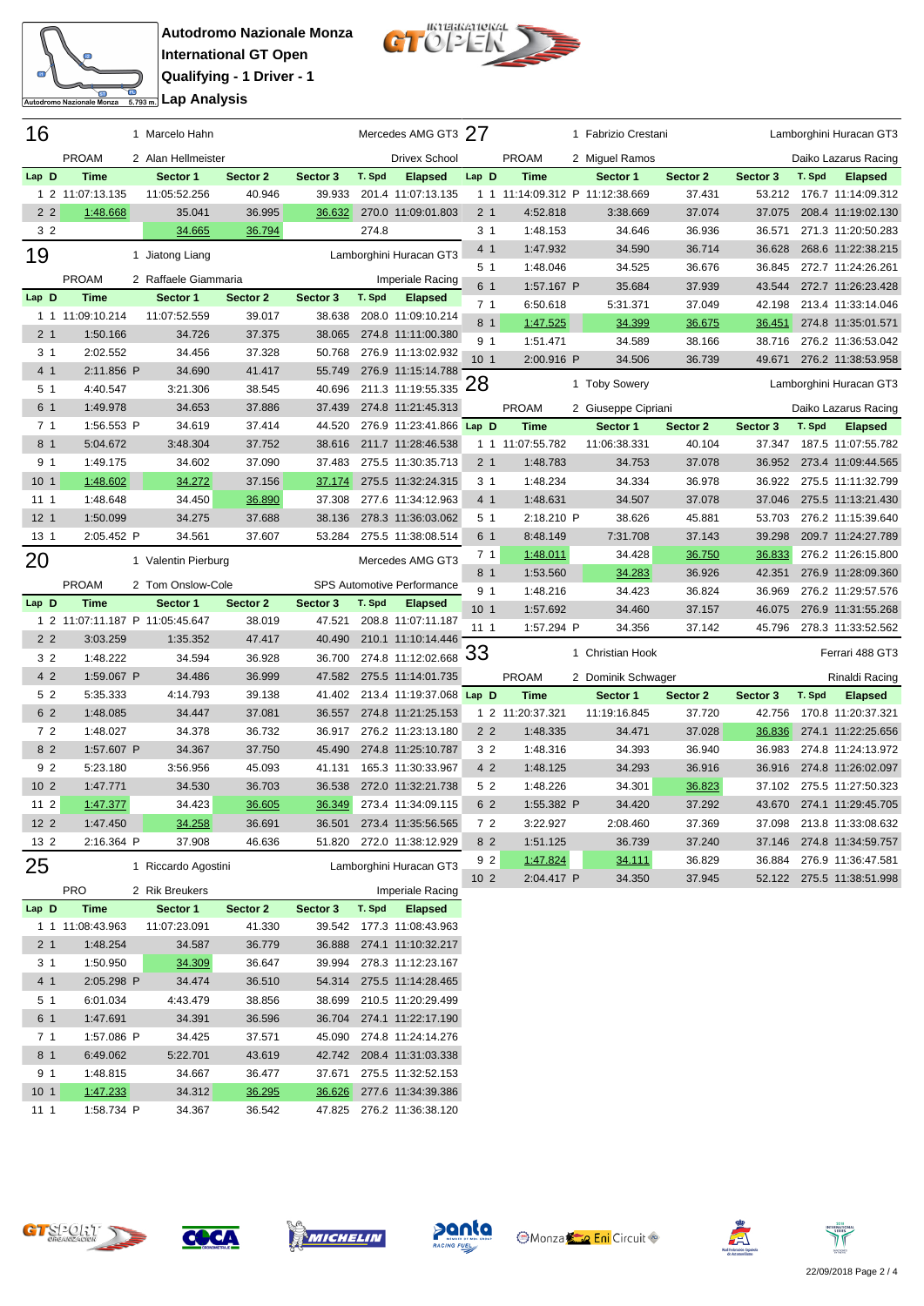$\mathbb{R}^2$ 

Autodromo Nazionale Monza



| 16              |                                 | 1 Marcelo Hahn                  |                    |                    |        | Mercedes AMG GT3 27                  |                                   |                                 | 1 Fabrizio Crestani |          |          |        | Lamborghini Huracan GT3   |
|-----------------|---------------------------------|---------------------------------|--------------------|--------------------|--------|--------------------------------------|-----------------------------------|---------------------------------|---------------------|----------|----------|--------|---------------------------|
|                 | <b>PROAM</b>                    | 2 Alan Hellmeister              |                    |                    |        | <b>Drivex School</b>                 |                                   | <b>PROAM</b>                    | 2 Miguel Ramos      |          |          |        | Daiko Lazarus Racing      |
| Lap D           | <b>Time</b>                     | Sector 1                        | Sector 2           | Sector 3           | T. Spd | <b>Elapsed</b>                       | Lap D                             | <b>Time</b>                     | Sector 1            | Sector 2 | Sector 3 | T. Spd | <b>Elapsed</b>            |
|                 | 1 2 11:07:13.135                | 11:05:52.256                    | 40.946             | 39.933             |        | 201.4 11:07:13.135                   |                                   | 1 1 11:14:09.312 P 11:12:38.669 |                     | 37.431   | 53.212   |        | 176.7 11:14:09.312        |
| 2 <sub>2</sub>  | 1:48.668                        | 35.041                          | 36.995             | 36.632             |        | 270.0 11:09:01.803                   | 2 <sub>1</sub>                    | 4:52.818                        | 3:38.669            | 37.074   | 37.075   |        | 208.4 11:19:02.130        |
| 3 <sub>2</sub>  |                                 | 34.665                          | 36.794             |                    | 274.8  |                                      | 3 <sub>1</sub>                    | 1:48.153                        | 34.646              | 36.936   | 36.571   |        | 271.3 11:20:50.283        |
| 19              |                                 | 1 Jiatong Liang                 |                    |                    |        | Lamborghini Huracan GT3              | 4 1                               | 1:47.932                        | 34.590              | 36.714   | 36.628   |        | 268.6 11:22:38.215        |
|                 |                                 |                                 |                    |                    |        |                                      | 5 <sub>1</sub>                    | 1:48.046                        | 34.525              | 36.676   | 36.845   |        | 272.7 11:24:26.261        |
|                 | <b>PROAM</b>                    | 2 Raffaele Giammaria            |                    |                    |        | Imperiale Racing                     | 6 1                               | 1:57.167 P                      | 35.684              | 37.939   | 43.544   |        | 272.7 11:26:23.428        |
| Lap D           | <b>Time</b>                     | Sector 1                        | Sector 2           | Sector 3           | T. Spd | <b>Elapsed</b>                       | 7 <sub>1</sub>                    | 6:50.618                        | 5:31.371            | 37.049   | 42.198   |        | 213.4 11:33:14.046        |
|                 | 1 1 11:09:10.214                | 11:07:52.559                    | 39.017             | 38.638             |        | 208.0 11:09:10.214                   | 8 <sub>1</sub>                    | 1:47.525                        | 34.399              | 36.675   | 36.451   |        | 274.8 11:35:01.571        |
| 2 <sub>1</sub>  | 1:50.166                        | 34.726                          | 37.375             | 38.065             |        | 274.8 11:11:00.380                   | 9 <sub>1</sub>                    | 1:51.471                        | 34.589              | 38.166   | 38.716   |        | 276.2 11:36:53.042        |
| 3 <sub>1</sub>  | 2:02.552                        | 34.456                          | 37.328             | 50.768             |        | 276.9 11:13:02.932                   | 10 <sub>1</sub>                   | 2:00.916 P                      | 34.506              | 36.739   | 49.671   |        | 276.2 11:38:53.958        |
| 4 1             | 2:11.856 P                      | 34.690                          | 41.417             | 55.749             |        | 276.9 11:15:14.788                   | 28                                |                                 | 1 Toby Sowery       |          |          |        | Lamborghini Huracan GT3   |
| 5 <sub>1</sub>  | 4:40.547                        | 3:21.306                        | 38.545             | 40.696             |        | 211.3 11:19:55.335                   |                                   |                                 |                     |          |          |        |                           |
| 6 1             | 1:49.978                        | 34.653                          | 37.886             | 37.439             |        | 274.8 11:21:45.313                   |                                   | <b>PROAM</b>                    | 2 Giuseppe Cipriani |          |          |        | Daiko Lazarus Racing      |
| 7 <sub>1</sub>  | 1:56.553 P                      | 34.619                          | 37.414             | 44.520             |        | 276.9 11:23:41.866 Lap D             |                                   | <b>Time</b>                     | Sector 1            | Sector 2 | Sector 3 | T. Spd | <b>Elapsed</b>            |
| 8 1             | 5:04.672                        | 3:48.304                        | 37.752             | 38.616             |        | 211.7 11:28:46.538                   |                                   | 1 1 11:07:55.782                | 11:06:38.331        | 40.104   | 37.347   |        | 187.5 11:07:55.782        |
| 9 <sub>1</sub>  | 1:49.175                        | 34.602                          | 37.090             | 37.483             |        | 275.5 11:30:35.713                   | 2 <sub>1</sub>                    | 1:48.783                        | 34.753              | 37.078   | 36.952   |        | 273.4 11:09:44.565        |
| 10 <sub>1</sub> | 1:48.602                        | 34.272                          | 37.156             | 37.174             |        | 275.5 11:32:24.315                   | 3 1                               | 1:48.234                        | 34.334              | 36.978   | 36.922   |        | 275.5 11:11:32.799        |
| 111             | 1:48.648                        | 34.450                          | 36.890             | 37.308             |        | 277.6 11:34:12.963                   | 4 <sub>1</sub>                    | 1:48.631                        | 34.507              | 37.078   | 37.046   |        | 275.5 11:13:21.430        |
| 12 <sub>1</sub> | 1:50.099                        | 34.275                          | 37.688             | 38.136             |        | 278.3 11:36:03.062                   | 5 1                               | 2:18.210 P                      | 38.626              | 45.881   | 53.703   |        | 276.2 11:15:39.640        |
| 13 1            | 2:05.452 P                      | 34.561                          | 37.607             | 53.284             |        | 275.5 11:38:08.514                   | 6 1                               | 8:48.149                        | 7:31.708            | 37.143   | 39.298   |        | 209.7 11:24:27.789        |
| 20              |                                 | 1 Valentin Pierburg             |                    |                    |        | Mercedes AMG GT3                     | 71                                | 1:48.011                        | 34.428              | 36.750   | 36.833   |        | 276.2 11:26:15.800        |
|                 | <b>PROAM</b>                    | 2 Tom Onslow-Cole               |                    |                    |        | SPS Automotive Performance           | 8 <sub>1</sub>                    | 1:53.560                        | 34.283              | 36.926   | 42.351   |        | 276.9 11:28:09.360        |
| Lap D           | <b>Time</b>                     | Sector 1                        | Sector 2           | Sector 3           | T. Spd | <b>Elapsed</b>                       | 9 <sub>1</sub><br>10 <sub>1</sub> | 1:48.216                        | 34.423              | 36.824   | 36.969   |        | 276.2 11:29:57.576        |
|                 |                                 | 1 2 11:07:11.187 P 11:05:45.647 | 38.019             | 47.521             |        | 208.8 11:07:11.187                   |                                   | 1:57.692                        | 34.460              | 37.157   | 46.075   |        | 276.9 11:31:55.268        |
| 2 <sub>2</sub>  | 3:03.259                        | 1:35.352                        | 47.417             | 40.490             |        | 210.1 11:10:14.446                   | 111                               | 1:57.294 P                      | 34.356              | 37.142   | 45.796   |        | 278.3 11:33:52.562        |
| 3 2             | 1:48.222                        | 34.594                          | 36.928             | 36.700             |        | 274.8 11:12:02.668                   | '33                               |                                 | 1 Christian Hook    |          |          |        | Ferrari 488 GT3           |
| 4 2             | 1:59.067 P                      | 34.486                          | 36.999             | 47.582             |        | 275.5 11:14:01.735                   |                                   | <b>PROAM</b>                    | 2 Dominik Schwager  |          |          |        | Rinaldi Racing            |
| 5 2             | 5:35.333                        | 4:14.793                        | 39.138             | 41.402             |        | 213.4 11:19:37.068 Lap D             |                                   | <b>Time</b>                     | Sector 1            | Sector 2 | Sector 3 | T. Spd | <b>Elapsed</b>            |
| 6 2             | 1:48.085                        | 34.447                          | 37.081             | 36.557             |        | 274.8 11:21:25.153                   |                                   | 1 2 11:20:37.321                | 11:19:16.845        | 37.720   | 42.756   |        | 170.8 11:20:37.321        |
| 72              | 1:48.027                        | 34.378                          | 36.732             | 36.917             |        | 276.2 11:23:13.180                   | 2 <sub>2</sub>                    | 1:48.335                        | 34.471              | 37.028   | 36.836   |        | 274.1 11:22:25.656        |
| 8 2             | 1:57.607 P                      | 34.367                          | 37.750             | 45.490             |        | 274.8 11:25:10.787                   | 3 <sub>2</sub>                    | 1:48.316                        | 34.393              | 36.940   | 36.983   |        | 274.8 11:24:13.972        |
| 92              | 5:23.180                        | 3:56.956                        | 45.093             | 41.131             |        | 165.3 11:30:33.967                   | 4 2                               | 1:48.125                        | 34.293              | 36.916   | 36.916   |        | 274.8 11:26:02.097        |
| 10 <sub>2</sub> | 1:47.771                        | 34.530                          | 36.703             | 36.538             |        | 272.0 11:32:21.738                   | 5 2                               | 1:48.226                        | 34.301              | 36.823   | 37.102   |        | 275.5 11:27:50.323        |
| $112$           | 1:47.377                        | 34.423                          | 36.605             | 36.349             |        | 273.4 11:34:09.115                   | 6 2                               | 1:55.382 P                      | 34.420              | 37.292   | 43.670   |        | 274.1 11:29:45.705        |
| $122$           | 1:47.450                        | 34.258                          | 36.691             | 36.501             |        | 273.4 11:35:56.565                   | 72                                | 3:22.927                        | 2:08.460            | 37.369   |          |        | 37.098 213.8 11:33:08.632 |
| 13 2            | 2:16.364 P                      | 37.908                          | 46.636             | 51.820             |        | 272.0 11:38:12.929                   | 8 2                               | 1:51.125                        | 36.739              | 37.240   |          |        | 37.146 274.8 11:34:59.757 |
| 25              |                                 | 1 Riccardo Agostini             |                    |                    |        | Lamborghini Huracan GT3              | 9 <sub>2</sub>                    | 1:47.824                        | 34.111              | 36.829   |          |        | 36.884 276.9 11:36:47.581 |
|                 |                                 |                                 |                    |                    |        |                                      | 10 <sub>2</sub>                   | 2:04.417 P                      | 34.350              | 37.945   |          |        | 52.122 275.5 11:38:51.998 |
|                 | <b>PRO</b>                      | 2 Rik Breukers                  |                    |                    |        | Imperiale Racing                     |                                   |                                 |                     |          |          |        |                           |
| Lap D           | <b>Time</b><br>1 1 11:08:43.963 | Sector 1<br>11:07:23.091        | Sector 2<br>41.330 | Sector 3<br>39.542 | T. Spd | <b>Elapsed</b><br>177.3 11:08:43.963 |                                   |                                 |                     |          |          |        |                           |
| 2 <sub>1</sub>  | 1:48.254                        | 34.587                          | 36.779             | 36.888             |        | 274.1 11:10:32.217                   |                                   |                                 |                     |          |          |        |                           |
|                 |                                 |                                 |                    |                    |        |                                      |                                   |                                 |                     |          |          |        |                           |

|                 | 11.VU. <del>T</del> U.JUU | 11. U <i>I</i> <b>L</b> J J J J J | <b>TI.</b> JUV | <u> こここ コーヒ</u> | 111.00. <del>1</del> 0.000 |
|-----------------|---------------------------|-----------------------------------|----------------|-----------------|----------------------------|
| 2 <sub>1</sub>  | 1:48.254                  | 34.587                            | 36.779         | 36.888          | 274.1 11:10:32.217         |
| 3 <sub>1</sub>  | 1:50.950                  | 34.309                            | 36.647         | 39.994          | 278.3 11:12:23.167         |
| 4 <sub>1</sub>  | 2:05.298 P                | 34.474                            | 36.510         | 54.314          | 275.5 11:14:28.465         |
| 5 <sub>1</sub>  | 6:01.034                  | 4:43.479                          | 38.856         | 38.699          | 210.5 11:20:29.499         |
| 6 1             | 1:47.691                  | 34.391                            | 36.596         | 36.704          | 274.1 11:22:17.190         |
| 7 <sub>1</sub>  | 1:57.086 P                | 34.425                            | 37.571         | 45.090          | 274.8 11:24:14.276         |
| 8 1             | 6:49.062                  | 5:22.701                          | 43.619         | 42.742          | 208.4 11:31:03.338         |
| 9 <sub>1</sub>  | 1:48.815                  | 34.667                            | 36.477         | 37.671          | 275.5 11:32:52.153         |
| 10 <sub>1</sub> | 1:47.233                  | 34.312                            | 36.295         | 36.626          | 277.6 11:34:39.386         |
| 11 <sub>1</sub> | 1:58.734 P                | 34.367                            | 36.542         | 47.825          | 276.2 11:36:38.120         |









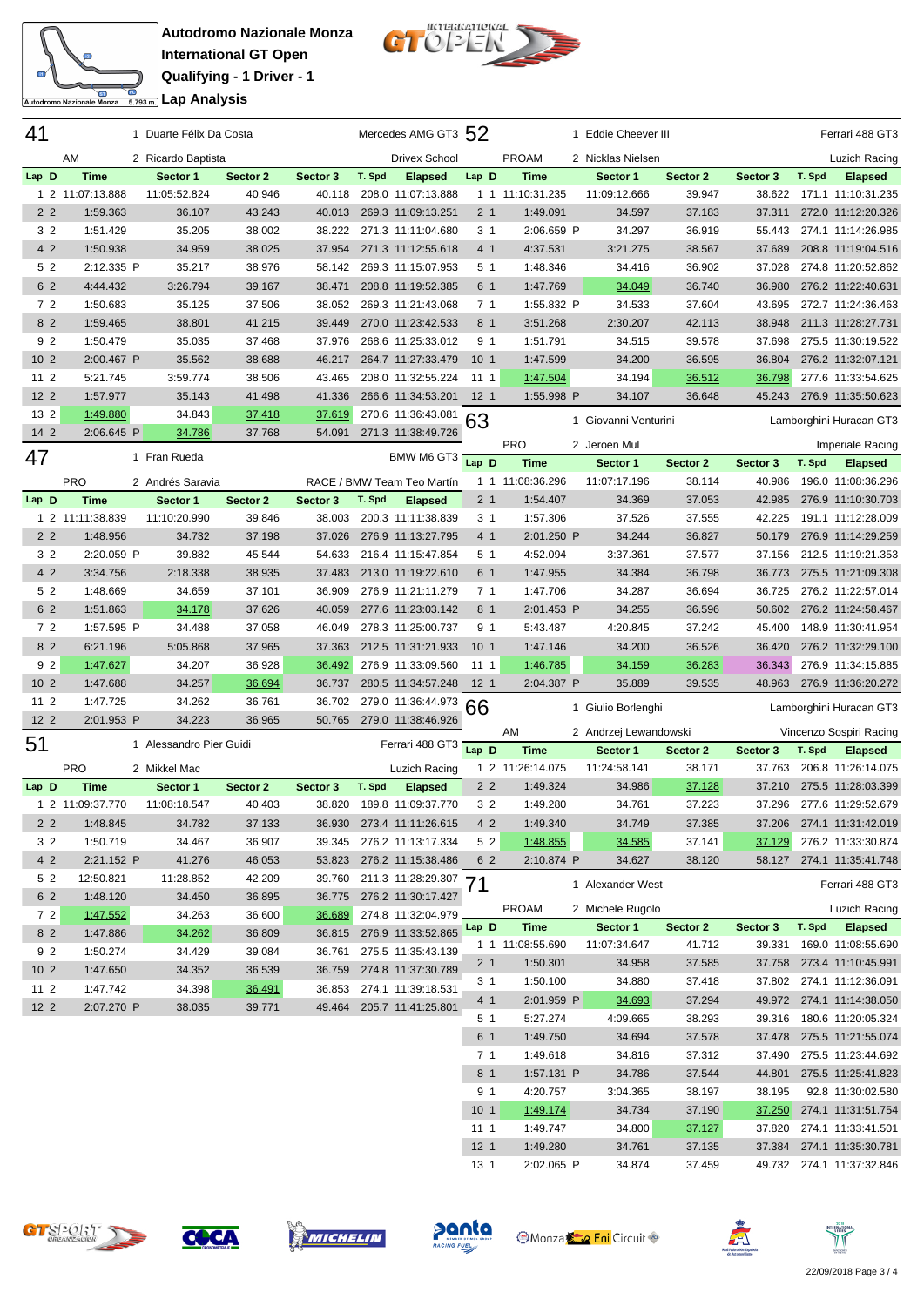

**Autodromo Nazionale Monza International GT Open Qualifying - 1 Driver - 1** <del>ta</del><br>Engli**analisis** Lap Analysis



| 41              |                  | 1 Duarte Félix Da Costa |          |          |        | Mercedes AMG GT3 52        |                 |                  | 1 Eddie Cheever III   |               |               |        | Ferrari 488 GT3           |
|-----------------|------------------|-------------------------|----------|----------|--------|----------------------------|-----------------|------------------|-----------------------|---------------|---------------|--------|---------------------------|
|                 | AM               | 2 Ricardo Baptista      |          |          |        | <b>Drivex School</b>       |                 | <b>PROAM</b>     | 2 Nicklas Nielsen     |               |               |        | Luzich Racing             |
| Lap D           | <b>Time</b>      | Sector 1                | Sector 2 | Sector 3 | T. Spd | <b>Elapsed</b>             | Lap D           | <b>Time</b>      | Sector 1              | Sector 2      | Sector 3      | T. Spd | <b>Elapsed</b>            |
| 1 <sub>2</sub>  | 11:07:13.888     | 11:05:52.824            | 40.946   | 40.118   |        | 208.0 11:07:13.888         |                 | 1 1 11:10:31.235 | 11:09:12.666          | 39.947        | 38.622        |        | 171.1 11:10:31.235        |
| 2 <sub>2</sub>  | 1:59.363         | 36.107                  | 43.243   | 40.013   |        | 269.3 11:09:13.251         | 2 <sub>1</sub>  | 1:49.091         | 34.597                | 37.183        | 37.311        |        | 272.0 11:12:20.326        |
| 3 <sub>2</sub>  | 1:51.429         | 35.205                  | 38.002   | 38.222   |        | 271.3 11:11:04.680         | 3 1             | 2:06.659 P       | 34.297                | 36.919        | 55.443        |        | 274.1 11:14:26.985        |
| 4 2             | 1:50.938         | 34.959                  | 38.025   | 37.954   |        | 271.3 11:12:55.618         | 4 1             | 4:37.531         | 3:21.275              | 38.567        | 37.689        |        | 208.8 11:19:04.516        |
| 5 2             | 2:12.335 P       | 35.217                  | 38.976   | 58.142   |        | 269.3 11:15:07.953         | 5 1             | 1:48.346         | 34.416                | 36.902        | 37.028        |        | 274.8 11:20:52.862        |
|                 |                  |                         |          |          |        | 208.8 11:19:52.385         | 6 1             |                  | 34.049                |               |               |        |                           |
| 6 2             | 4:44.432         | 3:26.794                | 39.167   | 38.471   |        | 269.3 11:21:43.068         |                 | 1:47.769         |                       | 36.740        | 36.980        |        | 276.2 11:22:40.631        |
| 72              | 1:50.683         | 35.125                  | 37.506   | 38.052   |        |                            | 71              | 1:55.832 P       | 34.533                | 37.604        | 43.695        |        | 272.7 11:24:36.463        |
| 82              | 1:59.465         | 38.801                  | 41.215   | 39.449   |        | 270.0 11:23:42.533         | 8 1             | 3:51.268         | 2:30.207              | 42.113        | 38.948        |        | 211.3 11:28:27.731        |
| 9 2             | 1:50.479         | 35.035                  | 37.468   | 37.976   |        | 268.6 11:25:33.012         | 9 1             | 1:51.791         | 34.515                | 39.578        | 37.698        |        | 275.5 11:30:19.522        |
| 10 <sub>2</sub> | 2:00.467 P       | 35.562                  | 38.688   | 46.217   |        | 264.7 11:27:33.479         | 10 <sub>1</sub> | 1:47.599         | 34.200                | 36.595        | 36.804        |        | 276.2 11:32:07.121        |
| 11 2            | 5:21.745         | 3:59.774                | 38.506   | 43.465   |        | 208.0 11:32:55.224         | 11 1            | 1:47.504         | 34.194                | 36.512        | 36.798        |        | 277.6 11:33:54.625        |
| 12 <sub>2</sub> | 1:57.977         | 35.143                  | 41.498   | 41.336   |        | 266.6 11:34:53.201         | 12 <sub>1</sub> | 1:55.998 P       | 34.107                | 36.648        | 45.243        |        | 276.9 11:35:50.623        |
| 13 2            | 1:49.880         | 34.843                  | 37.418   | 37.619   |        | 270.6 11:36:43.081         | 63              |                  | 1 Giovanni Venturini  |               |               |        | Lamborghini Huracan GT3   |
| $142$           | 2:06.645 P       | 34.786                  | 37.768   | 54.091   |        | 271.3 11:38:49.726         |                 | <b>PRO</b>       |                       |               |               |        |                           |
| 47              |                  | 1 Fran Rueda            |          |          |        | BMW M6 GT3                 | Lap D           |                  | 2 Jeroen Mul          |               |               |        | Imperiale Racing          |
|                 |                  |                         |          |          |        |                            |                 | <b>Time</b>      | Sector 1              | Sector 2      | Sector 3      | T. Spd | <b>Elapsed</b>            |
|                 | <b>PRO</b>       | 2 Andrés Saravia        |          |          |        | RACE / BMW Team Teo Martín |                 | 1 1 11:08:36.296 | 11:07:17.196          | 38.114        | 40.986        |        | 196.0 11:08:36.296        |
| Lap D           | <b>Time</b>      | Sector 1                | Sector 2 | Sector 3 | T. Spd | <b>Elapsed</b>             | 2 1             | 1:54.407         | 34.369                | 37.053        | 42.985        |        | 276.9 11:10:30.703        |
|                 | 1 2 11:11:38.839 | 11:10:20.990            | 39.846   | 38.003   |        | 200.3 11:11:38.839         | 31              | 1:57.306         | 37.526                | 37.555        | 42.225        |        | 191.1 11:12:28.009        |
| 2 <sub>2</sub>  | 1:48.956         | 34.732                  | 37.198   | 37.026   |        | 276.9 11:13:27.795         | 4 1             | 2:01.250 P       | 34.244                | 36.827        | 50.179        |        | 276.9 11:14:29.259        |
| 3 <sub>2</sub>  | 2:20.059 P       | 39.882                  | 45.544   | 54.633   |        | 216.4 11:15:47.854         | 51              | 4:52.094         | 3:37.361              | 37.577        | 37.156        |        | 212.5 11:19:21.353        |
| 4 2             | 3:34.756         | 2:18.338                | 38.935   | 37.483   |        | 213.0 11:19:22.610         | 6 1             | 1:47.955         | 34.384                | 36.798        | 36.773        |        | 275.5 11:21:09.308        |
| 5 2             | 1:48.669         | 34.659                  | 37.101   | 36.909   |        | 276.9 11:21:11.279         | 71              | 1:47.706         | 34.287                | 36.694        | 36.725        |        | 276.2 11:22:57.014        |
| 6 2             | 1:51.863         | 34.178                  | 37.626   | 40.059   |        | 277.6 11:23:03.142         | 8 <sub>1</sub>  | 2:01.453 P       | 34.255                | 36.596        | 50.602        |        | 276.2 11:24:58.467        |
| 72              | 1:57.595 P       | 34.488                  | 37.058   | 46.049   |        | 278.3 11:25:00.737         | 9 1             | 5:43.487         | 4:20.845              | 37.242        | 45.400        |        | 148.9 11:30:41.954        |
| 8 2             | 6:21.196         | 5:05.868                | 37.965   | 37.363   |        | 212.5 11:31:21.933         | 10 <sub>1</sub> | 1:47.146         | 34.200                | 36.526        | 36.420        |        | 276.2 11:32:29.100        |
| 92              | 1:47.627         | 34.207                  | 36.928   | 36.492   |        | 276.9 11:33:09.560         | 11 1            | <u>1:46.785</u>  | 34.159                | <u>36.283</u> | 36.343        |        | 276.9 11:34:15.885        |
| 10 <sub>2</sub> | 1:47.688         | 34.257                  | 36.694   | 36.737   |        | 280.5 11:34:57.248         | 12 <sub>1</sub> | 2:04.387 P       | 35.889                | 39.535        | 48.963        |        | 276.9 11:36:20.272        |
| 11 <sub>2</sub> | 1:47.725         | 34.262                  | 36.761   | 36.702   |        | 279.0 11:36:44.973         | 66              |                  | 1 Giulio Borlenghi    |               |               |        | Lamborghini Huracan GT3   |
| 12 <sub>2</sub> | 2:01.953 P       | 34.223                  | 36.965   | 50.765   |        | 279.0 11:38:46.926         |                 |                  |                       |               |               |        |                           |
| 51              |                  | 1 Alessandro Pier Guidi |          |          |        | Ferrari 488 GT3            |                 | AM               | 2 Andrzej Lewandowski |               |               |        | Vincenzo Sospiri Racing   |
|                 |                  |                         |          |          |        |                            | Lap D           | <b>Time</b>      | Sector 1              | Sector 2      | Sector 3      | T. Spd | <b>Elapsed</b>            |
|                 | PRO              | 2 Mikkel Mac            |          |          |        | Luzich Racing              |                 | 1 2 11:26:14.075 | 11:24:58.141          | 38.171        | 37.763        |        | 206.8 11:26:14.075        |
| Lap D           | <b>Time</b>      | Sector 1                | Sector 2 | Sector 3 | T. Spd | <b>Elapsed</b>             | 2 <sub>2</sub>  | 1:49.324         | 34.986                | 37.128        | 37.210        |        | 275.5 11:28:03.399        |
|                 | 1 2 11:09:37.770 | 11:08:18.547            | 40.403   | 38.820   |        | 189.8 11:09:37.770         | 32              | 1:49.280         | 34.761                | 37.223        | 37.296        |        | 277.6 11:29:52.679        |
| 2 <sub>2</sub>  | 1:48.845         | 34.782                  | 37.133   |          |        | 36.930 273.4 11:11:26.615  | 4 2             | 1:49.340         | 34.749                | 37.385        |               |        | 37.206 274.1 11:31:42.019 |
| 3 2             | 1:50.719         | 34.467                  | 36.907   | 39.345   |        | 276.2 11:13:17.334         | 5 2             | 1:48.855         | 34.585                | 37.141        | <u>37.129</u> |        | 276.2 11:33:30.874        |
| 4 2             | 2:21.152 P       | 41.276                  | 46.053   |          |        | 53.823 276.2 11:15:38.486  | 6 2             | 2:10.874 P       | 34.627                | 38.120        |               |        | 58.127 274.1 11:35:41.748 |
| 5 2             | 12:50.821        | 11:28.852               | 42.209   | 39.760   |        | 211.3 11:28:29.307 71      |                 |                  | 1 Alexander West      |               |               |        | Ferrari 488 GT3           |
| 6 2             | 1:48.120         | 34.450                  | 36.895   | 36.775   |        | 276.2 11:30:17.427         |                 |                  |                       |               |               |        |                           |
| 72              | 1:47.552         | 34.263                  | 36.600   | 36.689   |        | 274.8 11:32:04.979         |                 | <b>PROAM</b>     | 2 Michele Rugolo      |               |               |        | Luzich Racing             |
| 8 2             | 1:47.886         | 34.262                  | 36.809   | 36.815   |        | 276.9 11:33:52.865         | Lap D           | Time             | Sector 1              | Sector 2      | Sector 3      | T. Spd | <b>Elapsed</b>            |
| 9 2             | 1:50.274         | 34.429                  | 39.084   | 36.761   |        | 275.5 11:35:43.139         |                 | 1 1 11:08:55.690 | 11:07:34.647          | 41.712        | 39.331        |        | 169.0 11:08:55.690        |
| 10 <sub>2</sub> | 1:47.650         | 34.352                  | 36.539   | 36.759   |        | 274.8 11:37:30.789         | 2 1             | 1:50.301         | 34.958                | 37.585        |               |        | 37.758 273.4 11:10:45.991 |
| $112$           | 1:47.742         | 34.398                  | 36.491   | 36.853   |        | 274.1 11:39:18.531         | 31              | 1:50.100         | 34.880                | 37.418        |               |        | 37.802 274.1 11:12:36.091 |
| $122$           | 2:07.270 P       | 38.035                  | 39.771   | 49.464   |        | 205.7 11:41:25.801         | 4 1             | 2:01.959 P       | 34.693                | 37.294        |               |        | 49.972 274.1 11:14:38.050 |
|                 |                  |                         |          |          |        |                            | 51              | 5:27.274         | 4:09.665              | 38.293        |               |        | 39.316 180.6 11:20:05.324 |
|                 |                  |                         |          |          |        |                            | 6 1             | 1:49.750         | 34.694                | 37.578        |               |        | 37.478 275.5 11:21:55.074 |
|                 |                  |                         |          |          |        |                            | 71              | 1:49.618         | 34.816                | 37.312        |               |        | 37.490 275.5 11:23:44.692 |
|                 |                  |                         |          |          |        |                            | 8 1             | 1:57.131 P       | 34.786                | 37.544        |               |        | 44.801 275.5 11:25:41.823 |
|                 |                  |                         |          |          |        |                            | 91              | 4:20.757         | 3:04.365              | 38.197        | 38.195        |        | 92.8 11:30:02.580         |
|                 |                  |                         |          |          |        |                            | 10 <sub>1</sub> | 1:49.174         | 34.734                | 37.190        | 37.250        |        | 274.1 11:31:51.754        |
|                 |                  |                         |          |          |        |                            | 111             | 1:49.747         | 34.800                | 37.127        |               |        | 37.820 274.1 11:33:41.501 |
|                 |                  |                         |          |          |        |                            | 12 <sub>1</sub> | 1:49.280         | 34.761                | 37.135        |               |        | 37.384 274.1 11:35:30.781 |
|                 |                  |                         |          |          |        |                            | 13 1            | 2:02.065 P       | 34.874                | 37.459        |               |        | 49.732 274.1 11:37:32.846 |











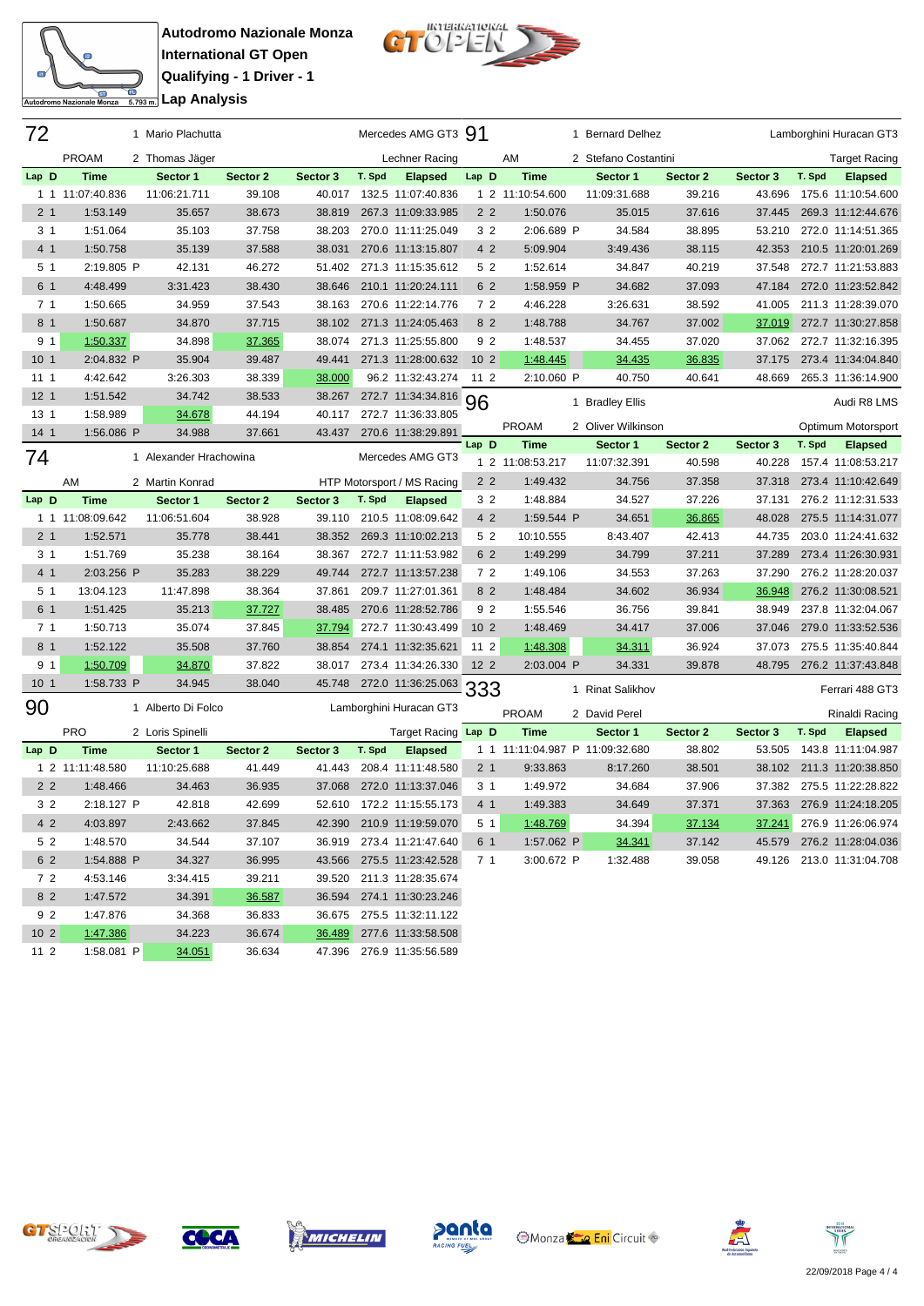

**Autodromo Nazionale Monza International GT Open Qualifying - 1 Driver - 1** <del>ta</del><br>Engli**analisis** Lap Analysis



| 72              |                  | 1 Mario Plachutta           |          |          |        | Mercedes AMG GT3 91                          |                 |                                 | 1 Bernard Delhez         |          |          |        | Lamborghini Huracan GT3              |
|-----------------|------------------|-----------------------------|----------|----------|--------|----------------------------------------------|-----------------|---------------------------------|--------------------------|----------|----------|--------|--------------------------------------|
|                 | <b>PROAM</b>     | 2 Thomas Jäger              |          |          |        | Lechner Racing                               |                 | AM                              | 2 Stefano Costantini     |          |          |        | <b>Target Racing</b>                 |
| Lap D           | <b>Time</b>      | Sector 1                    | Sector 2 | Sector 3 | T. Spd | <b>Elapsed</b>                               | Lap D           | <b>Time</b>                     | Sector 1                 | Sector 2 | Sector 3 | T. Spd | <b>Elapsed</b>                       |
| 11              | 11:07:40.836     | 11:06:21.711                | 39.108   | 40.017   |        | 132.5 11:07:40.836                           |                 | 1 2 11:10:54.600                | 11:09:31.688             | 39.216   | 43.696   |        | 175.6 11:10:54.600                   |
| 2 <sub>1</sub>  | 1:53.149         | 35.657                      | 38.673   | 38.819   |        | 267.3 11:09:33.985                           | 2 <sub>2</sub>  | 1:50.076                        | 35.015                   | 37.616   | 37.445   |        | 269.3 11:12:44.676                   |
| 3 1             | 1:51.064         | 35.103                      | 37.758   | 38.203   |        | 270.0 11:11:25.049                           | 32              | 2:06.689 P                      | 34.584                   | 38.895   | 53.210   |        | 272.0 11:14:51.365                   |
| 4 <sub>1</sub>  | 1:50.758         | 35.139                      | 37.588   | 38.031   |        | 270.6 11:13:15.807                           | 4 2             | 5:09.904                        | 3:49.436                 | 38.115   | 42.353   |        | 210.5 11:20:01.269                   |
| 5 1             | 2:19.805 P       | 42.131                      | 46.272   | 51.402   |        | 271.3 11:15:35.612                           | 5 2             | 1:52.614                        | 34.847                   | 40.219   | 37.548   |        | 272.7 11:21:53.883                   |
| 6 1             | 4:48.499         | 3:31.423                    | 38.430   | 38.646   |        | 210.1 11:20:24.111                           | 6 2             | 1:58.959 P                      | 34.682                   | 37.093   | 47.184   |        | 272.0 11:23:52.842                   |
| 7 <sub>1</sub>  | 1:50.665         | 34.959                      | 37.543   | 38.163   |        | 270.6 11:22:14.776                           | 72              | 4:46.228                        | 3:26.631                 | 38.592   | 41.005   |        | 211.3 11:28:39.070                   |
| 8 1             | 1:50.687         | 34.870                      | 37.715   | 38.102   |        | 271.3 11:24:05.463                           | 8 2             | 1:48.788                        | 34.767                   | 37.002   | 37.019   |        | 272.7 11:30:27.858                   |
| 9 <sub>1</sub>  | 1:50.337         | 34.898                      | 37.365   | 38.074   |        | 271.3 11:25:55.800                           | 9 2             | 1:48.537                        | 34.455                   | 37.020   | 37.062   |        | 272.7 11:32:16.395                   |
| 10 <sub>1</sub> | 2:04.832 P       | 35.904                      | 39.487   | 49.441   |        | 271.3 11:28:00.632                           | 10 <sub>2</sub> | 1:48.445                        | 34.435                   | 36.835   | 37.175   |        | 273.4 11:34:04.840                   |
| 111             | 4:42.642         | 3:26.303                    | 38.339   | 38.000   |        | 96.2 11:32:43.274                            | $112$           | 2:10.060 P                      | 40.750                   | 40.641   | 48.669   |        | 265.3 11:36:14.900                   |
| 12 <sub>1</sub> | 1:51.542         | 34.742                      | 38.533   | 38.267   |        | 272.7 11:34:34.816                           | 96              |                                 | 1 Bradley Ellis          |          |          |        | Audi R8 LMS                          |
| 13 <sub>1</sub> | 1:58.989         | 34.678                      | 44.194   | 40.117   |        | 272.7 11:36:33.805                           |                 |                                 |                          |          |          |        |                                      |
| 14 <sub>1</sub> | 1:56.086 P       | 34.988                      | 37.661   | 43.437   |        | 270.6 11:38:29.891                           | Lap D           | <b>PROAM</b><br><b>Time</b>     | 2 Oliver Wilkinson       | Sector 2 | Sector 3 | T. Spd | Optimum Motorsport                   |
| 74              |                  | 1 Alexander Hrachowina      |          |          |        | Mercedes AMG GT3                             |                 | 1 2 11:08:53.217                | Sector 1<br>11:07:32.391 | 40.598   | 40.228   |        | <b>Elapsed</b><br>157.4 11:08:53.217 |
|                 | AM               |                             |          |          |        |                                              | 2 <sub>2</sub>  | 1:49.432                        | 34.756                   | 37.358   | 37.318   |        | 273.4 11:10:42.649                   |
| Lap D           | <b>Time</b>      | 2 Martin Konrad<br>Sector 1 | Sector 2 | Sector 3 | T. Spd | HTP Motorsport / MS Racing<br><b>Elapsed</b> | 32              | 1:48.884                        | 34.527                   | 37.226   | 37.131   |        | 276.2 11:12:31.533                   |
|                 | 1 1 11:08:09.642 | 11:06:51.604                | 38.928   | 39.110   |        | 210.5 11:08:09.642                           | 4 2             | 1:59.544 P                      | 34.651                   | 36.865   | 48.028   |        | 275.5 11:14:31.077                   |
| 2 <sub>1</sub>  | 1:52.571         | 35.778                      | 38.441   | 38.352   |        | 269.3 11:10:02.213                           | 52              | 10:10.555                       | 8:43.407                 | 42.413   | 44.735   |        | 203.0 11:24:41.632                   |
| 3 <sub>1</sub>  | 1:51.769         | 35.238                      | 38.164   | 38.367   |        | 272.7 11:11:53.982                           | 6 2             | 1:49.299                        | 34.799                   | 37.211   | 37.289   |        | 273.4 11:26:30.931                   |
| 4 1             | 2:03.256 P       | 35.283                      | 38.229   | 49.744   |        | 272.7 11:13:57.238                           | 72              | 1:49.106                        | 34.553                   | 37.263   | 37.290   |        | 276.2 11:28:20.037                   |
| 5 1             | 13:04.123        | 11:47.898                   | 38.364   | 37.861   |        | 209.7 11:27:01.361                           | 8 <sub>2</sub>  | 1:48.484                        | 34.602                   | 36.934   | 36.948   |        | 276.2 11:30:08.521                   |
| 6 1             | 1:51.425         | 35.213                      | 37.727   | 38.485   |        | 270.6 11:28:52.786                           | 92              | 1:55.546                        | 36.756                   | 39.841   | 38.949   |        | 237.8 11:32:04.067                   |
| 7 <sub>1</sub>  | 1:50.713         | 35.074                      | 37.845   | 37.794   |        | 272.7 11:30:43.499                           | 10 <sub>2</sub> | 1:48.469                        | 34.417                   | 37.006   | 37.046   |        | 279.0 11:33:52.536                   |
| 8 <sub>1</sub>  | 1:52.122         | 35.508                      | 37.760   | 38.854   |        | 274.1 11:32:35.621                           | 11 2            | 1:48.308                        | 34.311                   | 36.924   | 37.073   |        | 275.5 11:35:40.844                   |
| 9 <sub>1</sub>  | 1:50.709         | 34.870                      | 37.822   | 38.017   |        | 273.4 11:34:26.330                           | $122$           | 2:03.004 P                      | 34.331                   | 39.878   | 48.795   |        | 276.2 11:37:43.848                   |
| 10 <sub>1</sub> | 1:58.733 P       | 34.945                      | 38.040   | 45.748   |        | 272.0 11:36:25.063 333                       |                 |                                 |                          |          |          |        |                                      |
|                 |                  |                             |          |          |        |                                              |                 |                                 | 1 Rinat Salikhov         |          |          |        | Ferrari 488 GT3                      |
| 90              |                  | 1 Alberto Di Folco          |          |          |        | Lamborghini Huracan GT3                      |                 | <b>PROAM</b>                    | 2 David Perel            |          |          |        | Rinaldi Racing                       |
|                 | <b>PRO</b>       | 2 Loris Spinelli            |          |          |        | Target Racing Lap D                          |                 | <b>Time</b>                     | Sector 1                 | Sector 2 | Sector 3 | T. Spd | <b>Elapsed</b>                       |
| Lap D           | <b>Time</b>      | Sector 1                    | Sector 2 | Sector 3 | T. Spd | <b>Elapsed</b>                               |                 | 1 1 11:11:04.987 P 11:09:32.680 |                          | 38.802   | 53.505   |        | 143.8 11:11:04.987                   |
|                 | 1 2 11:11:48.580 | 11:10:25.688                | 41.449   | 41.443   |        | 208.4 11:11:48.580                           | 2 1             | 9:33.863                        | 8:17.260                 | 38.501   | 38.102   |        | 211.3 11:20:38.850                   |
| 2 <sub>2</sub>  | 1:48.466         | 34.463                      | 36.935   | 37.068   |        | 272.0 11:13:37.046                           | 3 <sub>1</sub>  | 1:49.972                        | 34.684                   | 37.906   | 37.382   |        | 275.5 11:22:28.822                   |
| 3 2             | 2:18.127 P       | 42.818                      | 42.699   |          |        | 52.610 172.2 11:15:55.173                    | 4 1             | 1:49.383                        | 34.649                   | 37.371   | 37.363   |        | 276.9 11:24:18.205                   |
| 4 2             | 4:03.897         | 2:43.662                    | 37.845   |          |        | 42.390 210.9 11:19:59.070                    | 5 1             | 1:48.769                        | 34.394                   | 37.134   |          |        | 37.241 276.9 11:26:06.974            |
| 5 2             | 1:48.570         | 34.544                      | 37.107   | 36.919   |        | 273.4 11:21:47.640                           | 6 1             | 1:57.062 P                      | 34.341                   | 37.142   | 45.579   |        | 276.2 11:28:04.036                   |
| 6 2             | 1:54.888 P       | 34.327                      | 36.995   | 43.566   |        | 275.5 11:23:42.528                           | 71              | 3:00.672 P                      | 1:32.488                 | 39.058   |          |        | 49.126 213.0 11:31:04.708            |
| 72              | 4:53.146         | 3:34.415                    | 39.211   | 39.520   |        | 211.3 11:28:35.674                           |                 |                                 |                          |          |          |        |                                      |
| 8 2             | 1:47.572         | 34.391                      | 36.587   | 36.594   |        | 274.1 11:30:23.246                           |                 |                                 |                          |          |          |        |                                      |
| 9 2             | 1:47.876         | 34.368                      | 36.833   | 36.675   |        | 275.5 11:32:11.122                           |                 |                                 |                          |          |          |        |                                      |
| 10 <sub>2</sub> | 1:47.386         | 34.223                      | 36.674   | 36.489   |        | 277.6 11:33:58.508                           |                 |                                 |                          |          |          |        |                                      |
| $112$           | 1:58.081 P       | 34.051                      | 36.634   |          |        | 47.396 276.9 11:35:56.589                    |                 |                                 |                          |          |          |        |                                      |











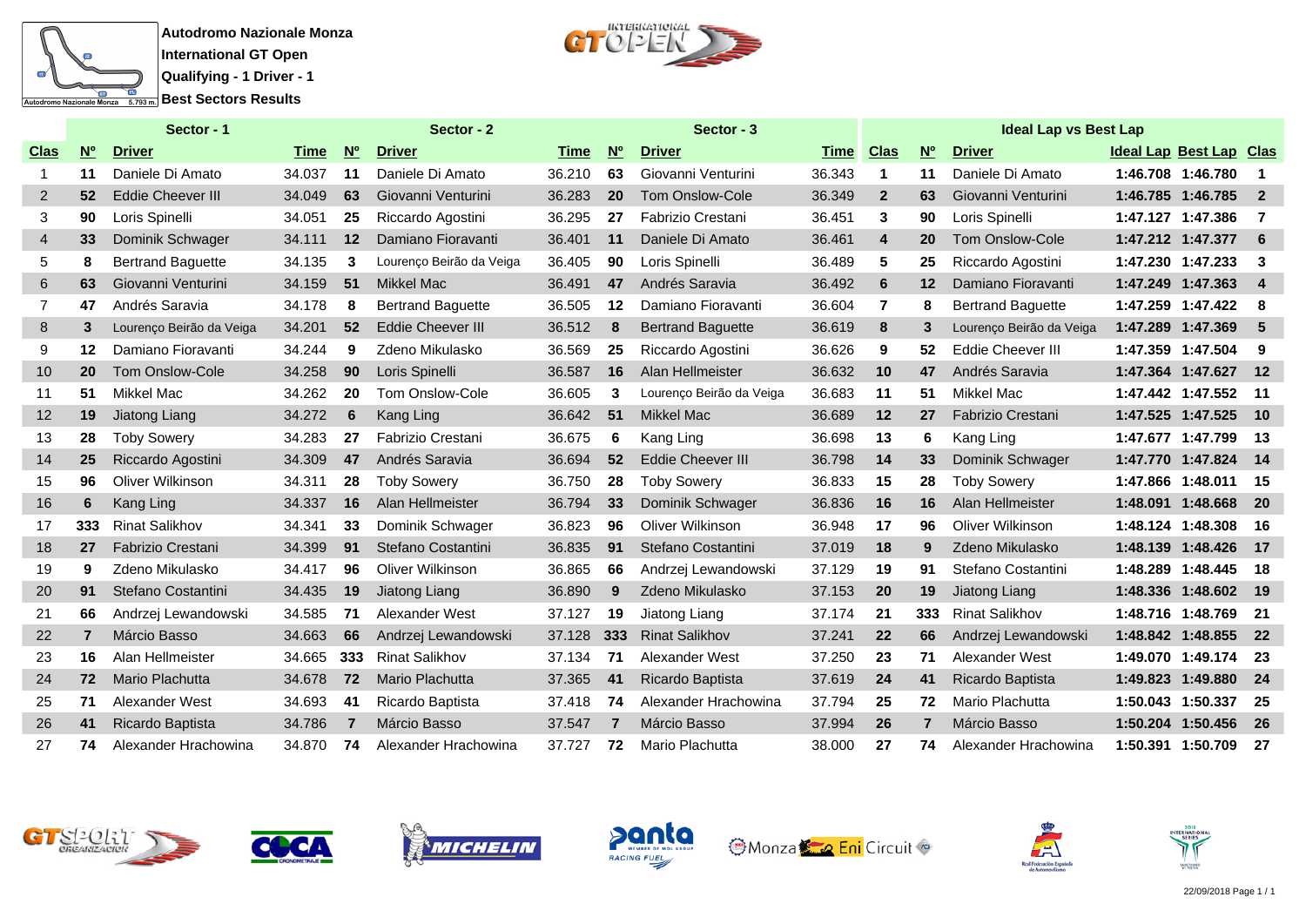



|                |                | Sector - 1               |        |                | Sector - 2               |             |                | Sector - 3               |        |                |                | <b>Ideal Lap vs Best Lap</b> |                                |                          |
|----------------|----------------|--------------------------|--------|----------------|--------------------------|-------------|----------------|--------------------------|--------|----------------|----------------|------------------------------|--------------------------------|--------------------------|
| <b>Clas</b>    | N <sub>o</sub> | <b>Driver</b>            | Time   | N <sup>o</sup> | <b>Driver</b>            | <b>Time</b> | N <sup>o</sup> | <b>Driver</b>            | Time   | <b>Clas</b>    | N <sub>o</sub> | <b>Driver</b>                | <b>Ideal Lap Best Lap Clas</b> |                          |
| $\mathbf{1}$   | 11             | Daniele Di Amato         | 34.037 | 11             | Daniele Di Amato         | 36.210      | 63             | Giovanni Venturini       | 36.343 | $\mathbf{1}$   | 11             | Daniele Di Amato             | 1:46.708 1:46.780              | $\overline{\mathbf{1}}$  |
| $\overline{2}$ | 52             | <b>Eddie Cheever III</b> | 34.049 | 63             | Giovanni Venturini       | 36.283      | 20             | Tom Onslow-Cole          | 36.349 | $\overline{2}$ | 63             | Giovanni Venturini           | 1:46.785 1:46.785              | $\overline{\phantom{0}}$ |
| 3              | 90             | Loris Spinelli           | 34.051 | 25             | Riccardo Agostini        | 36.295      | 27             | Fabrizio Crestani        | 36.451 | 3              | 90             | Loris Spinelli               | 1:47.127 1:47.386              | $\overline{7}$           |
| $\overline{4}$ | 33             | Dominik Schwager         | 34.111 | 12             | Damiano Fioravanti       | 36.401      | 11             | Daniele Di Amato         | 36.461 | 4              | 20             | Tom Onslow-Cole              | 1:47.212 1:47.377              | - 6                      |
| 5              | 8              | <b>Bertrand Baguette</b> | 34.135 | 3              | Lourenço Beirão da Veiga | 36.405      | 90             | Loris Spinelli           | 36.489 | 5              | 25             | Riccardo Agostini            | 1:47.230 1:47.233              | $\overline{\mathbf{3}}$  |
| 6              | 63             | Giovanni Venturini       | 34.159 | 51             | <b>Mikkel Mac</b>        | 36.491      | 47             | Andrés Saravia           | 36.492 | 6              | 12             | Damiano Fioravanti           | 1:47.249 1:47.363              | $\overline{\phantom{a}}$ |
| $\overline{7}$ | 47             | Andrés Saravia           | 34.178 | 8              | <b>Bertrand Baguette</b> | 36.505      | $12 \,$        | Damiano Fioravanti       | 36.604 | $\overline{7}$ | 8              | <b>Bertrand Baguette</b>     | 1:47.259 1:47.422              | - 8                      |
| 8              | 3              | Lourenço Beirão da Veiga | 34.201 | 52             | <b>Eddie Cheever III</b> | 36.512      | 8              | <b>Bertrand Baguette</b> | 36.619 | 8              | 3              | Lourenço Beirão da Veiga     | 1:47.289 1:47.369              | - 5                      |
| 9              | 12             | Damiano Fioravanti       | 34.244 | 9              | Zdeno Mikulasko          | 36.569      | 25             | Riccardo Agostini        | 36.626 | 9              | 52             | Eddie Cheever III            | 1:47.359 1:47.504              | - 9                      |
| 10             | 20             | <b>Tom Onslow-Cole</b>   | 34.258 | 90             | Loris Spinelli           | 36.587      | 16             | Alan Hellmeister         | 36.632 | 10             | 47             | Andrés Saravia               | 1:47.364 1:47.627 12           |                          |
| 11             | 51             | Mikkel Mac               | 34.262 | 20             | <b>Tom Onslow-Cole</b>   | 36.605      | 3              | Lourenco Beirão da Veiga | 36.683 | 11             | 51             | Mikkel Mac                   | 1:47.442 1:47.552              | $-11$                    |
| 12             | 19             | Jiatong Liang            | 34.272 | 6              | Kang Ling                | 36.642      | 51             | <b>Mikkel Mac</b>        | 36.689 | 12             | 27             | <b>Fabrizio Crestani</b>     | 1:47.525 1:47.525              | $-10$                    |
| 13             | 28             | <b>Toby Sowery</b>       | 34.283 | 27             | <b>Fabrizio Crestani</b> | 36.675      | 6              | Kang Ling                | 36.698 | 13             | 6              | Kang Ling                    | 1:47.677 1:47.799              | - 13                     |
| 14             | 25             | Riccardo Agostini        | 34.309 | 47             | Andrés Saravia           | 36.694      | 52             | <b>Eddie Cheever III</b> | 36.798 | 14             | 33             | Dominik Schwager             | 1:47.770 1:47.824              | 14                       |
| 15             | 96             | <b>Oliver Wilkinson</b>  | 34.311 | 28             | <b>Toby Sowery</b>       | 36.750      | 28             | <b>Toby Sowery</b>       | 36.833 | 15             | 28             | <b>Toby Sowery</b>           | 1:47.866 1:48.011              | - 15                     |
| 16             | 6              | Kang Ling                | 34.337 | 16             | <b>Alan Hellmeister</b>  | 36.794      | 33             | Dominik Schwager         | 36.836 | 16             | 16             | Alan Hellmeister             | 1:48.091 1:48.668              | 20                       |
| 17             | 333            | <b>Rinat Salikhov</b>    | 34.341 | 33             | Dominik Schwager         | 36.823      | 96             | Oliver Wilkinson         | 36.948 | 17             | 96             | Oliver Wilkinson             | 1:48.124 1:48.308              | -16                      |
| 18             | 27             | <b>Fabrizio Crestani</b> | 34.399 | 91             | Stefano Costantini       | 36.835      | 91             | Stefano Costantini       | 37.019 | 18             | 9              | Zdeno Mikulasko              | 1:48.139 1:48.426              | 17                       |
| 19             | 9              | Zdeno Mikulasko          | 34.417 | 96             | Oliver Wilkinson         | 36.865      | 66             | Andrzej Lewandowski      | 37.129 | 19             | 91             | Stefano Costantini           | 1:48.289 1:48.445              | 18                       |
| 20             | 91             | Stefano Costantini       | 34.435 | 19             | Jiatong Liang            | 36.890      | 9              | Zdeno Mikulasko          | 37.153 | 20             | 19             | Jiatong Liang                | 1:48.336 1:48.602              | $-19$                    |
| 21             | 66             | Andrzej Lewandowski      | 34.585 | 71             | Alexander West           | 37.127      | 19             | Jiatong Liang            | 37.174 | 21             | 333            | <b>Rinat Salikhov</b>        | 1:48.716 1:48.769              | - 21                     |
| 22             | 7              | Márcio Basso             | 34.663 | 66             | Andrzej Lewandowski      | 37.128      | 333            | <b>Rinat Salikhov</b>    | 37.241 | 22             | 66             | Andrzej Lewandowski          | 1:48.842 1:48.855              | 22                       |
| 23             | 16             | Alan Hellmeister         | 34.665 | 333            | <b>Rinat Salikhov</b>    | 37.134      | 71             | Alexander West           | 37.250 | 23             | 71             | Alexander West               | 1:49.070 1:49.174              | - 23                     |
| 24             | 72             | Mario Plachutta          | 34.678 | 72             | Mario Plachutta          | 37.365      | 41             | Ricardo Baptista         | 37.619 | 24             | 41             | Ricardo Baptista             | 1:49.823 1:49.880              | 24                       |
| 25             | 71             | Alexander West           | 34.693 | 41             | Ricardo Baptista         | 37.418      | 74             | Alexander Hrachowina     | 37.794 | 25             | 72             | Mario Plachutta              | 1:50.043 1:50.337              | 25                       |
| 26             | 41             | Ricardo Baptista         | 34.786 | 7              | Márcio Basso             | 37.547      | $\overline{7}$ | Márcio Basso             | 37.994 | 26             |                | Márcio Basso                 | 1:50.204 1:50.456              | 26                       |
| 27             | 74             | Alexander Hrachowina     | 34.870 | 74             | Alexander Hrachowina     | 37.727      | 72             | Mario Plachutta          | 38.000 | 27             | 74             | Alexander Hrachowina         | 1:50.391 1:50.709              | -27                      |













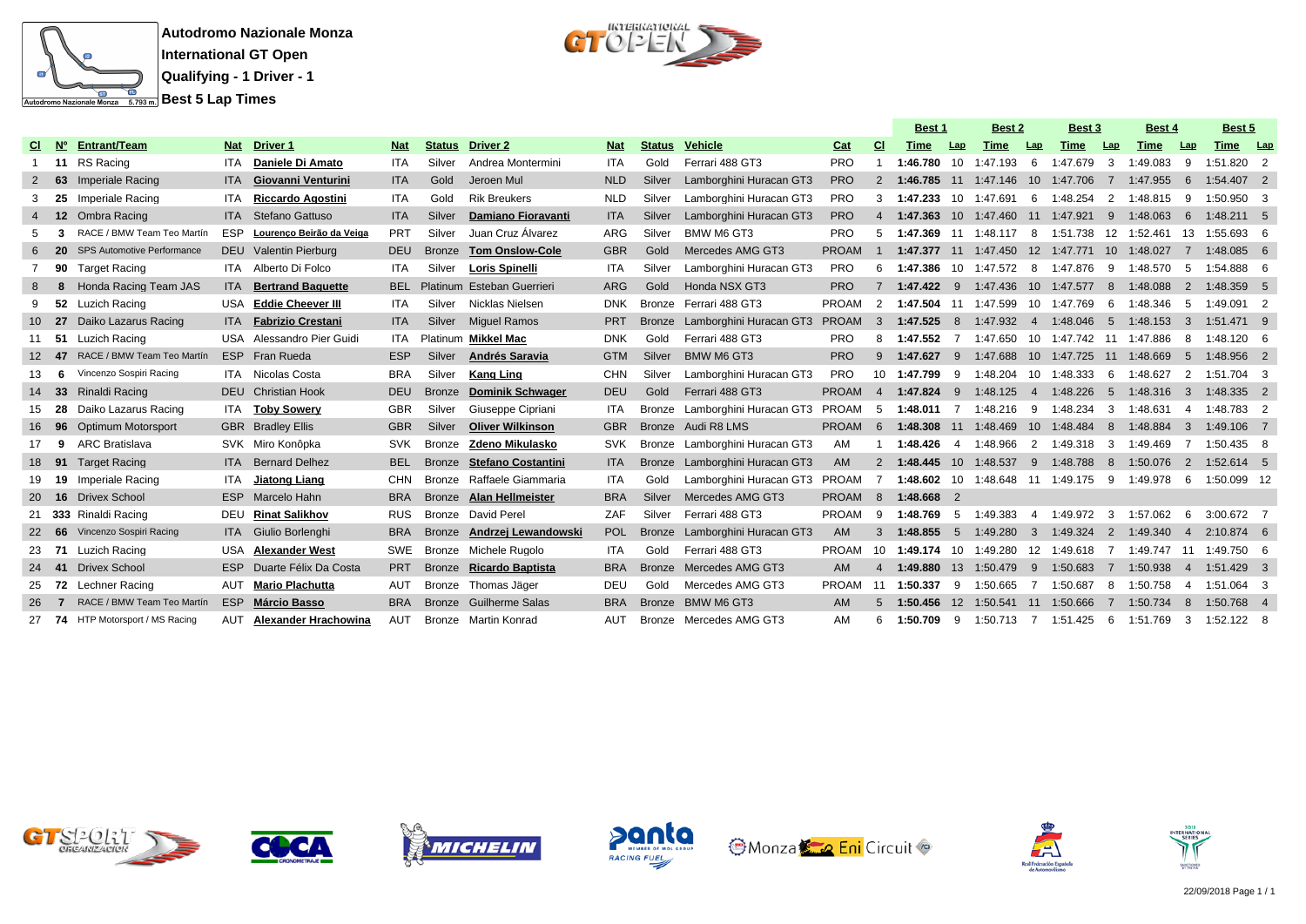



|           |       |                                      |            |                            |            |               |                            |            |               |                                |              |                | <b>Best 1</b>                                             |                | Best 2                 |                | Best 3                           |                 | <b>Best 4</b> |                         | Best 5       |            |
|-----------|-------|--------------------------------------|------------|----------------------------|------------|---------------|----------------------------|------------|---------------|--------------------------------|--------------|----------------|-----------------------------------------------------------|----------------|------------------------|----------------|----------------------------------|-----------------|---------------|-------------------------|--------------|------------|
| CI.       | N°    | Entrant/Team                         | Nat        | <b>Driver 1</b>            | <b>Nat</b> | <b>Status</b> | <b>Driver 2</b>            | <b>Nat</b> | <b>Status</b> | Vehicle                        | Cat          | <b>CI</b>      | <b>Time</b>                                               | Lap            | Time                   | Lap            | <b>Time</b>                      | Lap             | Time          | Lap                     | Time         | <b>Lap</b> |
|           | 11    | RS Racing                            | <b>ITA</b> | Daniele Di Amato           | <b>ITA</b> | Silver        | Andrea Montermini          | <b>ITA</b> | Gold          | Ferrari 488 GT3                | <b>PRO</b>   |                | 1:46.780                                                  | 10             | 1:47.193               | 6              | 1:47.679                         | 3               | 1:49.083      | 9                       | 1:51.820 2   |            |
|           | 63    | Imperiale Racing                     | <b>ITA</b> | Giovanni Venturini         | <b>ITA</b> | Gold          | Jeroen Mul                 | <b>NLD</b> | Silver        | Lamborghini Huracan GT3        | <b>PRO</b>   | $\mathcal{P}$  | 1:46.785                                                  |                | 11 1:47.146            |                | 10 1:47.706                      | $\overline{7}$  | 1:47.955      | -6                      | 1:54.407 2   |            |
|           | 25    | Imperiale Racing                     | ITA        | <b>Riccardo Agostini</b>   | <b>ITA</b> | Gold          | <b>Rik Breukers</b>        | <b>NLD</b> | Silver        | Lamborghini Huracan GT3        | <b>PRO</b>   | 3              | 1:47.233                                                  |                | 10 1:47.691            | - 6            | 1:48.254                         | 2               | 1:48.815      | -9                      | 1:50.950 3   |            |
|           | 12    | Ombra Racing                         |            | <b>ITA</b> Stefano Gattuso | <b>ITA</b> | Silver        | Damiano Fioravanti         | <b>ITA</b> | Silver        | Lamborghini Huracan GT3        | <b>PRO</b>   | 4              | 1:47.363                                                  |                | 10 1:47.460            |                | 11 1:47.921                      | 9               | 1:48.063      | 6                       | 1:48.211 5   |            |
|           |       | RACE / BMW Team Teo Martín           | <b>ESP</b> | Lourenço Beirão da Veiga   | PRT        | Silver        | Juan Cruz Álvarez          | <b>ARG</b> | Silver        | BMW M6 GT3                     | <b>PRO</b>   | 5              | 1:47.369 11 1:48.117 8 1:51.738 12 1:52.461               |                |                        |                |                                  |                 |               | 13                      | 1:55.693 6   |            |
|           |       | <b>SPS Automotive Performance</b>    |            | DEU Valentin Pierburg      | <b>DEU</b> | <b>Bronze</b> | <b>Tom Onslow-Cole</b>     | <b>GBR</b> | Gold          | Mercedes AMG GT3               | <b>PROAM</b> | -1             |                                                           |                | 1:47.377 11 1:47.450   |                | 12 1:47.771 10                   |                 | 1:48.027      | $\overline{7}$          | 1:48.085 6   |            |
|           | 90    | <b>Target Racing</b>                 |            | ITA Alberto Di Folco       | <b>ITA</b> | Silver        | <b>Loris Spinelli</b>      | ITA        | Silver        | Lamborghini Huracan GT3        | <b>PRO</b>   | 6              | 1:47.386                                                  |                |                        |                | 10 1:47.572 8 1:47.876           | 9               | 1:48.570      | - 5                     | 1:54.888 6   |            |
| 8         |       | Honda Racing Team JAS                | <b>ITA</b> | <b>Bertrand Baquette</b>   | <b>BEL</b> |               | Platinum Esteban Guerrieri | <b>ARG</b> | Gold          | Honda NSX GT3                  | <b>PRO</b>   |                | 1:47.422                                                  | 9              | 1:47.436               |                | 10 1:47.577                      | 8               | 1:48.088      | $\overline{2}$          | 1:48.359 5   |            |
| 9         | 52    | Luzich Racing                        | USA        | <b>Eddie Cheever III</b>   | <b>ITA</b> | Silver        | Nicklas Nielsen            | <b>DNK</b> | Bronze        | Ferrari 488 GT3                | <b>PROAM</b> | 2              | 1:47.504 11 1:47.599                                      |                |                        |                | 10 1:47.769                      | -6              | 1:48.346      | - 5                     | 1:49.091 2   |            |
|           | 10 27 | Daiko Lazarus Racing                 |            | ITA Fabrizio Crestani      | <b>ITA</b> | Silver        | <b>Miquel Ramos</b>        | <b>PRT</b> | <b>Bronze</b> | Lamborghini Huracan GT3        | <b>PROAM</b> | $\mathbf{B}$   | 1:47.525                                                  | 8              | 1:47.932               |                | 4 1:48.046                       | 5               | 1:48.153      | - 3                     | 1:51.471 9   |            |
| 11        | 51    | Luzich Racing                        |            | USA Alessandro Pier Guidi  | ITA        |               | Platinum Mikkel Mac        | <b>DNK</b> | Gold          | Ferrari 488 GT3                | <b>PRO</b>   | 8              | 1:47.552                                                  |                | 1:47.650               |                | 10 1:47.742 11 1:47.886          |                 |               | -8                      | 1:48.120 6   |            |
|           | -47   | RACE / BMW Team Teo Martín           |            | ESP Fran Rueda             | <b>ESP</b> | Silver        | Andrés Saravia             | <b>GTM</b> | Silver        | BMW M6 GT3                     | <b>PRO</b>   | 9              | 1:47.627                                                  | 9              | 1:47.688               |                | 10 1:47.725 11                   |                 | 1:48.669      | - 5                     | 1:48.956 2   |            |
|           | - 6   | Vincenzo Sospiri Racing              |            | <b>ITA</b> Nicolas Costa   | <b>BRA</b> | Silver        | <b>Kang Ling</b>           | <b>CHN</b> | Silver        | Lamborghini Huracan GT3        | <b>PRO</b>   | 10             | 1:47.799                                                  | -9             | 1:48.204               |                | 10 1:48.333                      | -6              | 1:48.627      | 2                       | 1:51.704 3   |            |
| 14        | 33    | Rinaldi Racing                       |            | <b>DEU</b> Christian Hook  | <b>DEU</b> | <b>Bronze</b> | <b>Dominik Schwager</b>    | <b>DEU</b> | Gold          | Ferrari 488 GT3                | <b>PROAM</b> | $\overline{A}$ | 1:47.824                                                  | -9             | 1:48.125               | $\overline{4}$ | 1:48.226                         | $5\overline{5}$ | 1:48.316      | $\overline{\mathbf{3}}$ | 1:48.335 2   |            |
|           | 28    | Daiko Lazarus Racing                 | ITA.       | <b>Toby Sowery</b>         | <b>GBR</b> | Silver        | Giuseppe Cipriani          | <b>ITA</b> | <b>Bronze</b> | Lamborghini Huracan GT3        | PROAM        | 5              | 1:48.011                                                  | $\overline{7}$ | 1:48.216 9             |                | 1:48.234                         | 3               | 1:48.631      | -4                      | 1:48.783 2   |            |
| 16        | - 96  | Optimum Motorsport                   |            | <b>GBR</b> Bradley Ellis   | <b>GBR</b> | Silver        | <b>Oliver Wilkinson</b>    | <b>GBR</b> |               | Bronze Audi R8 LMS             | <b>PROAM</b> | - 6            | 1:48.308 11 1:48.469                                      |                |                        |                | 10 1:48.484                      | 8               | 1:48.884      | $\mathbf{3}$            | 1:49.106 7   |            |
|           | 9     | <b>ARC Bratislava</b>                |            | SVK Miro Konôpka           | <b>SVK</b> | <b>Bronze</b> | Zdeno Mikulasko            | <b>SVK</b> |               | Bronze Lamborghini Huracan GT3 | AM           |                | 1:48.426                                                  | 4              | 1:48.966               | $\overline{2}$ | 1:49.318                         | 3               | 1:49.469      |                         | 1:50.435 8   |            |
| 18        | 91    | <b>Target Racing</b>                 |            | <b>ITA</b> Bernard Delhez  | <b>BEL</b> | <b>Bronze</b> | <b>Stefano Costantini</b>  | <b>ITA</b> | <b>Bronze</b> | Lamborghini Huracan GT3        | AM.          | 2              | 1:48.445                                                  |                | 10 1:48.537            | -9             | 1:48.788                         | 8               | 1:50.076      | $\overline{2}$          | $1:52.614$ 5 |            |
|           | 19    | Imperiale Racing                     | ITA.       | Jiatong Liang              | <b>CHN</b> | Bronze        | Raffaele Giammaria         | ITA        | Gold          | Lamborghini Huracan GT3        | PROAM        | 7              | 1:48.602 10 1:48.648 11 1:49.175 9 1:49.978 6 1:50.099 12 |                |                        |                |                                  |                 |               |                         |              |            |
| <b>20</b> | 16    | <b>Drivex School</b>                 |            | ESP Marcelo Hahn           | <b>BRA</b> | <b>Bronze</b> | <b>Alan Hellmeister</b>    | <b>BRA</b> | Silver        | Mercedes AMG GT3               | <b>PROAM</b> | 8              | $1:48.668$ 2                                              |                |                        |                |                                  |                 |               |                         |              |            |
| 21        |       | 333 Rinaldi Racing                   |            | DEU Rinat Salikhov         | <b>RUS</b> | <b>Bronze</b> | David Perel                | ZAF        | Silver        | Ferrari 488 GT3                | PROAM        | 9              | 1:48.769                                                  | -5             | 1:49.383               | $\overline{4}$ | 1:49.972                         | -3              | 1:57.062      | -6                      | 3:00.672 7   |            |
| 22        | -66   | Vincenzo Sospiri Racing              |            | ITA Giulio Borlenghi       | <b>BRA</b> | <b>Bronze</b> | Andrzei Lewandowski        | <b>POL</b> |               | Bronze Lamborghini Huracan GT3 | AM           | $\mathcal{B}$  | 1:48.855                                                  | $5^{\circ}$    | 1:49.280               |                | 3 1:49.324                       | 2               | 1:49.340      | $\overline{4}$          | 2:10.874 6   |            |
| 23        | 71    | Luzich Racing                        |            | USA Alexander West         | SWE        | Bronze        | Michele Rugolo             | ITA        | Gold          | Ferrari 488 GT3                | <b>PROAM</b> | 10             |                                                           |                |                        |                | 1:49.174 10 1:49.280 12 1:49.618 | $\overline{7}$  | 1:49.747 11   |                         | 1:49.750 6   |            |
| 24        | 41    | <b>Drivex School</b>                 | <b>ESP</b> | Duarte Félix Da Costa      | <b>PRT</b> | <b>Bronze</b> | <b>Ricardo Baptista</b>    | <b>BRA</b> | <b>Bronze</b> | Mercedes AMG GT3               | <b>AM</b>    | 4              | 1:49.880                                                  | 13             | 1:50.479               | -9             | 1:50.683                         | $\overline{7}$  | 1:50.938      | $\overline{4}$          | 1:51.429 3   |            |
|           | 72    | Lechner Racing                       | AUT        | <b>Mario Plachutta</b>     | <b>AUT</b> | Bronze        | Thomas Jäger               | DEU        | Gold          | Mercedes AMG GT3               | <b>PROAM</b> | -11            | 1:50.337                                                  | -9             | 1:50.665               | $\overline{7}$ | 1:50.687                         | 8               | 1:50.758      | -4                      | 1:51.064 3   |            |
|           |       | RACE / BMW Team Teo Martín           | <b>ESP</b> | <b>Márcio Basso</b>        | <b>BRA</b> | <b>Bronze</b> | <b>Guilherme Salas</b>     | <b>BRA</b> |               | Bronze BMW M6 GT3              | AM.          | 5              | 1:50.456                                                  | 12             | 1:50.541  11  1:50.666 |                |                                  | $\overline{7}$  | 1:50.734      | -8                      | 1:50.768 4   |            |
| 27        |       | <b>74</b> HTP Motorsport / MS Racing |            | Alexander Hrachowina       | AUT        |               | Bronze Martin Konrad       | AUT        |               | Bronze Mercedes AMG GT3        | AM           | 6              | 1:50.709 9                                                |                | 1:50.713               | $\overline{7}$ | 1:51.425                         | - 6             | 1:51.769      | -3                      | $1:52.122$ 8 |            |













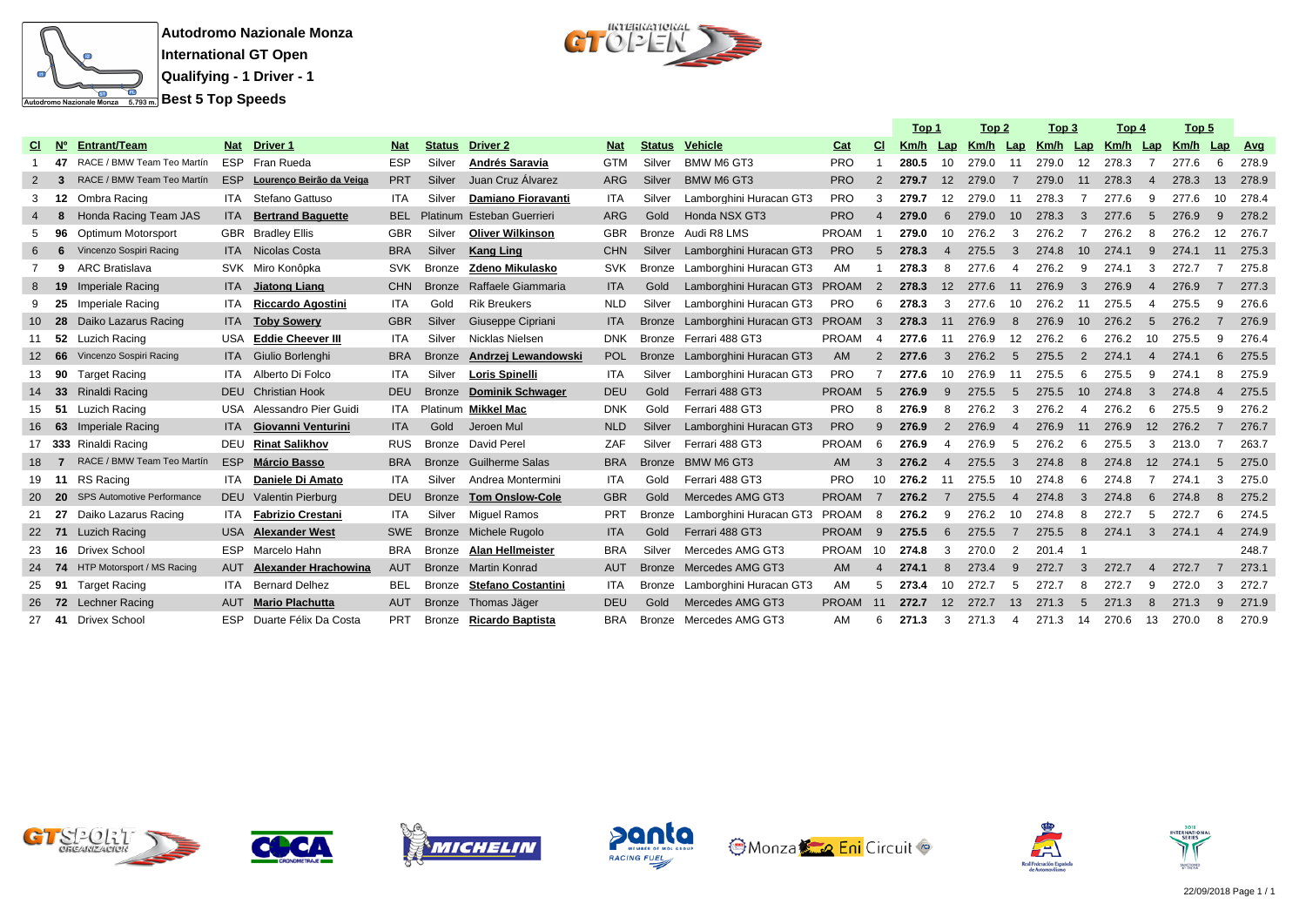

 $\begin{array}{c} \text{interference} \\ \text{C} \\ \end{array}$ 

|           |      |                               |            |                              |            |               |                            |            |               |                                |              |                | Top 1 |                   | Top 2 |                        | Top 3                             |                 | Top 4 |                          | Top 5 |                 |            |
|-----------|------|-------------------------------|------------|------------------------------|------------|---------------|----------------------------|------------|---------------|--------------------------------|--------------|----------------|-------|-------------------|-------|------------------------|-----------------------------------|-----------------|-------|--------------------------|-------|-----------------|------------|
| <b>CI</b> | N°   | <b>Entrant/Team</b>           |            | Nat Driver 1                 | <b>Nat</b> | <b>Status</b> | Driver 2                   | <b>Nat</b> | <b>Status</b> | <b>Vehicle</b>                 | Cat          | <b>CI</b>      | Km/h  | Lap               |       |                        | <u>Km/h Lap Km/h Lap Km/h Lap</u> |                 |       |                          | Km/h  | Lap             | <b>Avg</b> |
|           | 47   | RACE / BMW Team Teo Martín    |            | ESP Fran Rueda               | <b>ESP</b> | Silver        | Andrés Saravia             | <b>GTM</b> | Silver        | BMW M6 GT3                     | <b>PRO</b>   |                | 280.5 | 10                | 279.0 | 11                     | 279.0                             | 12              | 278.3 | -7                       | 277.6 | 6               | 278.9      |
|           |      | RACE / BMW Team Teo Martín    |            | ESP Lourenço Beirão da Veiga | <b>PRT</b> | Silver        | Juan Cruz Álvarez          | <b>ARG</b> | Silver        | BMW M6 GT3                     | <b>PRO</b>   | $\overline{2}$ | 279.7 | 12 <sup>2</sup>   | 279.0 | $\overline{7}$         | 279.0                             | 11              | 278.3 | $\overline{4}$           | 278.3 | 13              | 278.9      |
| 3         |      | 12 Ombra Racing               |            | <b>ITA</b> Stefano Gattuso   | <b>ITA</b> | Silver        | Damiano Fioravanti         | <b>ITA</b> | Silver        | Lamborghini Huracan GT3        | <b>PRO</b>   | 3              | 279.7 | $12 \overline{ }$ | 279.0 | 11                     | 278.3                             | - 7             | 277.6 | 9                        | 277.6 | 10              | 278.4      |
|           | 8    | Honda Racing Team JAS         | ITA.       | <b>Bertrand Baquette</b>     | <b>BEL</b> |               | Platinum Esteban Guerrieri | <b>ARG</b> | Gold          | Honda NSX GT3                  | <b>PRO</b>   | $\overline{4}$ | 279.0 | 6                 | 279.0 | 10 <sup>°</sup>        | 278.3                             | 3               | 277.6 | 5                        | 276.9 | 9               | 278.2      |
|           | 96   | Optimum Motorsport            |            | <b>GBR</b> Bradley Ellis     | <b>GBR</b> | Silver        | <b>Oliver Wilkinson</b>    | <b>GBR</b> | Bronze        | Audi R8 LMS                    | <b>PROAM</b> |                | 279.0 | 10                | 276.2 | 3                      | 276.2                             |                 | 276.2 | 8                        | 276.2 | 12              | 276.7      |
|           | 6    | Vincenzo Sospiri Racing       |            | <b>ITA</b> Nicolas Costa     | <b>BRA</b> | Silver        | <b>Kang Ling</b>           | <b>CHN</b> | Silver        | Lamborghini Huracan GT3        | <b>PRO</b>   | 5              | 278.3 | $\overline{4}$    | 275.5 | 3                      | 274.8                             | 10              | 274.1 | 9                        | 274.1 | 11              | 275.3      |
|           | 9    | ARC Bratislava                |            | SVK Miro Konôpka             | <b>SVK</b> | Bronze        | Zdeno Mikulasko            |            | <b>Bronze</b> | Lamborghini Huracan GT3        | AM           | -1             | 278.3 | 8                 | 277.6 | -4                     | 276.2                             | -9              | 274.1 | 3                        | 272.7 | 7               | 275.8      |
|           |      | 19 Imperiale Racing           |            | ITA Jiatong Liang            | <b>CHN</b> | <b>Bronze</b> | Raffaele Giammaria         | <b>ITA</b> | Gold          | Lamborghini Huracan GT3 PROAM  |              | $\overline{2}$ | 278.3 | 12                | 277.6 | 11                     | 276.9                             | 3               | 276.9 | $\overline{4}$           | 276.9 | $\overline{7}$  | 277.3      |
|           |      | 25 Imperiale Racing           | ITA.       | Riccardo Agostini            | <b>ITA</b> | Gold          | <b>Rik Breukers</b>        | <b>NLD</b> | Silver        | Lamborghini Huracan GT3        | <b>PRO</b>   | 6              | 278.3 | 3                 | 277.6 | 10                     | 276.2                             | -11             | 275.5 | $\boldsymbol{\varDelta}$ | 275.5 | 9               | 276.6      |
|           | 28   | Daiko Lazarus Racing          | ITA.       | <b>Toby Sowery</b>           | <b>GBR</b> | Silver        | Giuseppe Cipriani          | <b>ITA</b> | <b>Bronze</b> | Lamborghini Huracan GT3 PROAM  |              | -3             | 278.3 | 11                | 276.9 | 8                      | 276.9                             | 10 <sup>°</sup> | 276.2 | 5                        | 276.2 |                 | 276.9      |
| 11        |      | 52 Luzich Racing              | USA        | <b>Eddie Cheever III</b>     | <b>ITA</b> | Silver        | Nicklas Nielsen            | <b>DNK</b> |               | Bronze Ferrari 488 GT3         | PROAM        | $\overline{4}$ | 277.6 | 11                | 276.9 | 12                     | 276.2                             | 6               | 276.2 | 10                       | 275.5 | 9               | 276.4      |
|           |      | 12 66 Vincenzo Sospiri Racing |            | ITA Giulio Borlenghi         | <b>BRA</b> | <b>Bronze</b> | Andrzej Lewandowski        | <b>POL</b> |               | Bronze Lamborghini Huracan GT3 | <b>AM</b>    | 2              | 277.6 | $\mathbf{3}$      | 276.2 | -5                     | 275.5                             | 2               | 274.1 | $\overline{4}$           | 274.1 | $6\overline{6}$ | 275.5      |
| 13        |      | 90 Target Racing              | ITA        | Alberto Di Folco             | <b>ITA</b> | Silver        | <b>Loris Spinelli</b>      | <b>ITA</b> | Silver        | Lamborghini Huracan GT3        | <b>PRO</b>   |                | 277.6 | -10               | 276.9 | 11                     | 275.5                             | 6               | 275.5 | 9                        | 274.1 | 8               | 275.9      |
|           |      | 33 Rinaldi Racing             |            | <b>DEU</b> Christian Hook    | <b>DEU</b> | <b>Bronze</b> | <b>Dominik Schwager</b>    | <b>DEU</b> | Gold          | Ferrari 488 GT3                | <b>PROAM</b> | -5             | 276.9 | 9                 | 275.5 | -5                     | 275.5                             | 10 <sup>1</sup> | 274.8 | $\mathbf{3}$             | 274.8 | $\overline{4}$  | 275.5      |
| 15        |      | 51 Luzich Racing              |            | USA Alessandro Pier Guidi    | ITA        |               | Platinum Mikkel Mac        | <b>DNK</b> | Gold          | Ferrari 488 GT3                | PRO          | 8              | 276.9 | 8                 | 276.2 | 3                      | 276.2                             | -4              | 276.2 | -6                       | 275.5 | 9               | 276.2      |
| 16        |      | 63 Imperiale Racing           |            | ITA Giovanni Venturini       | <b>ITA</b> | Gold          | Jeroen Mul                 | <b>NLD</b> | Silver        | Lamborghini Huracan GT3        | <b>PRO</b>   | 9              | 276.9 | 2                 | 276.9 | $\boldsymbol{\Lambda}$ | 276.9                             | 11              | 276.9 | 12                       | 276.2 |                 | 276.7      |
|           |      | 17 333 Rinaldi Racing         |            | DEU Rinat Salikhov           | <b>RUS</b> | Bronze        | David Perel                | ZAF        | Silver        | Ferrari 488 GT3                | <b>PROAM</b> | -6             | 276.9 | 4                 | 276.9 | -5                     | 276.2                             | 6               | 275.5 | 3                        | 213.0 |                 | 263.7      |
| 18.       | 7    | RACE / BMW Team Teo Martín    |            | ESP Márcio Basso             | <b>BRA</b> | <b>Bronze</b> | <b>Guilherme Salas</b>     | <b>BRA</b> | <b>Bronze</b> | BMW M6 GT3                     | <b>AM</b>    | 3              | 276.2 | $\overline{4}$    | 275.5 | 3                      | 274.8                             | 8               | 274.8 | 12                       | 274.1 | 5               | 275.0      |
|           |      | 19 11 RS Racing               | ITA        | Daniele Di Amato             | <b>ITA</b> | Silver        | Andrea Montermini          | <b>ITA</b> | Gold          | Ferrari 488 GT3                | <b>PRO</b>   | 10             | 276.2 | 11                | 275.5 | 10                     | 274.8                             | -6              | 274.8 | -7                       | 274.1 | 3               | 275.0      |
|           | - 20 | SPS Automotive Performance    |            | DEU Valentin Pierburg        | <b>DEU</b> | <b>Bronze</b> | <b>Tom Onslow-Cole</b>     | <b>GBR</b> | Gold          | Mercedes AMG GT3               | <b>PROAM</b> | $\overline{7}$ | 276.2 | $\overline{7}$    | 275.5 | $\overline{4}$         | 274.8                             | $\mathbf{3}$    | 274.8 | 6                        | 274.8 | 8               | 275.2      |
| 21        | 27   | Daiko Lazarus Racing          | ITA        | <b>Fabrizio Crestani</b>     | ITA        | Silver        | Miguel Ramos               | <b>PRT</b> | <b>Bronze</b> | Lamborghini Huracan GT3        | PROAM        | - 8            | 276.2 | 9                 | 276.2 | 10                     | 274.8                             | 8               | 272.7 | 5                        | 272.7 | 6               | 274.5      |
| <b>22</b> | 71   | <b>Luzich Racing</b>          | USA.       | <b>Alexander West</b>        | <b>SWE</b> | <b>Bronze</b> | Michele Rugolo             | <b>ITA</b> | Gold          | Ferrari 488 GT3                | <b>PROAM</b> | -9             | 275.5 | 6                 | 275.5 | $\overline{7}$         | 275.5                             | 8               | 274.1 | 3                        | 274.1 | $\overline{4}$  | 274.9      |
| 23        | 16   | <b>Drivex School</b>          |            | ESP Marcelo Hahn             | <b>BRA</b> | Bronze        | <b>Alan Hellmeister</b>    | <b>BRA</b> | Silver        | Mercedes AMG GT3               | PROAM        | 10             | 274.8 | 3                 | 270.0 | 2                      | 201.4                             |                 |       |                          |       |                 | 248.7      |
| 24        |      | 74 HTP Motorsport / MS Racing |            | AUT Alexander Hrachowina     | <b>AUT</b> |               | Bronze Martin Konrad       | <b>AUT</b> | <b>Bronze</b> | Mercedes AMG GT3               | <b>AM</b>    | 4              | 274.1 | 8                 | 273.4 | 9                      | 272.7                             | $\mathbf{3}$    | 272.7 | $\overline{4}$           | 272.7 | 7               | 273.1      |
| 25        |      | 91 Target Racing              |            | <b>ITA</b> Bernard Delhez    | <b>BEL</b> | Bronze        | <b>Stefano Costantini</b>  | <b>ITA</b> | Bronze        | Lamborghini Huracan GT3        | AM           | 5              | 273.4 | 10                | 272.7 | .5                     | 272.7                             | 8               | 272.7 | 9                        | 272.0 | 3               | 272.7      |
|           |      | 26 72 Lechner Racing          |            | <b>AUT</b> Mario Plachutta   | <b>AUT</b> | <b>Bronze</b> | Thomas Jäger               | <b>DEU</b> | Gold          | Mercedes AMG GT3               | PROAM        | 11             | 272.7 | 12 <sup>2</sup>   | 272.7 | 13                     | 271.3                             | $5\overline{5}$ | 271.3 | 8                        | 271.3 | $\mathbf{q}$    | 271.9      |
| 27        |      | 41 Drivex School              | <b>ESP</b> | Duarte Félix Da Costa        | <b>PRT</b> | Bronze        | <b>Ricardo Baptista</b>    | <b>BRA</b> | Bronze        | Mercedes AMG GT3               | AM           | 6              | 271.3 | 3                 | 271.3 | 4                      | 271.3                             | 14              | 270.6 | 13                       | 270.0 | 8               | 270.9      |















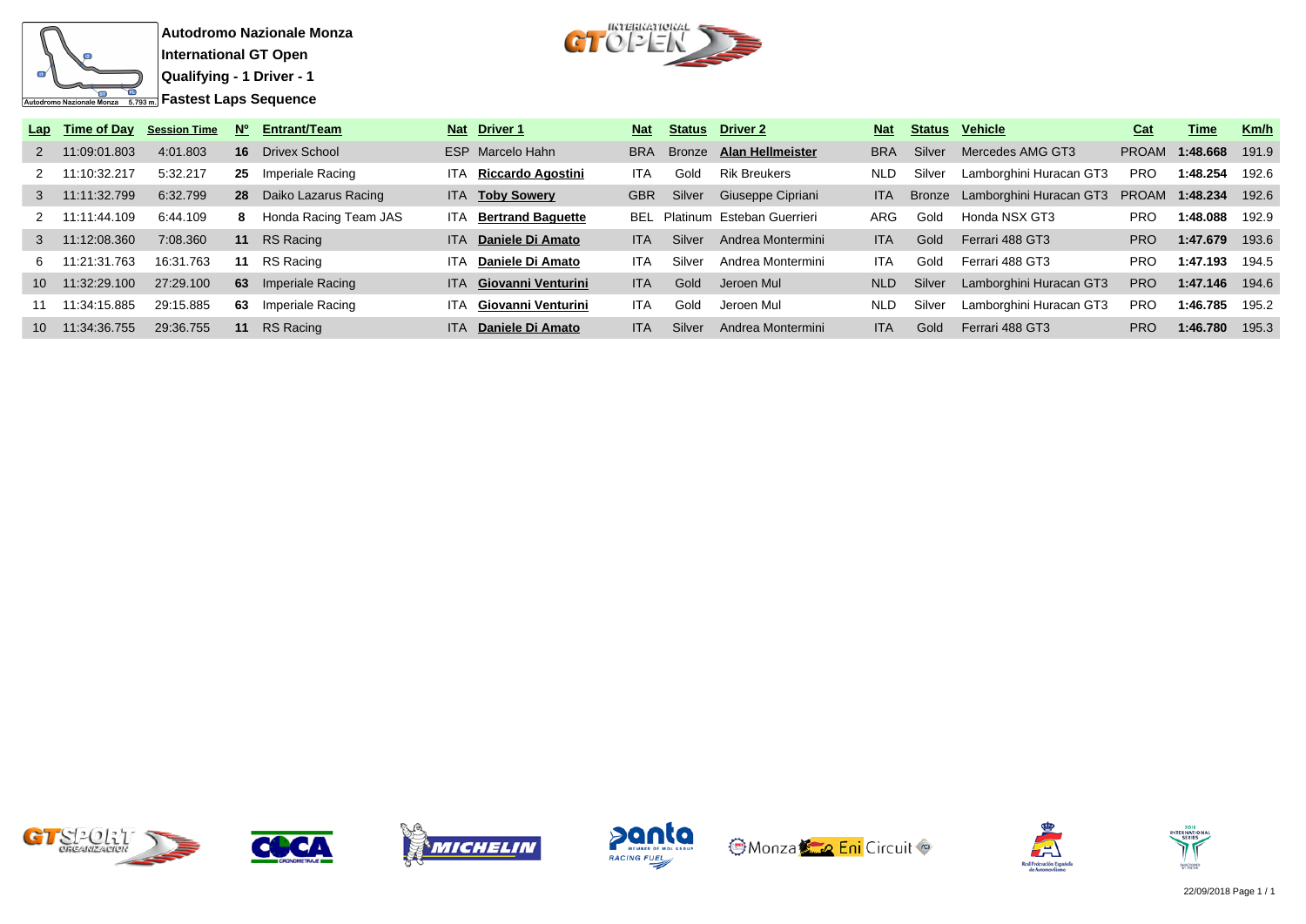



| Lap             | Time of Day     | <b>Session Time</b> | N° | <b>Entrant/Team</b>     |            | Nat Driver 1                  | <b>Nat</b> |               | <b>Status</b> Driver 2                | <b>Nat</b> |        | Status Vehicle                 | Cat          | Time           | Km/h  |
|-----------------|-----------------|---------------------|----|-------------------------|------------|-------------------------------|------------|---------------|---------------------------------------|------------|--------|--------------------------------|--------------|----------------|-------|
| $\mathcal{P}$   | 11:09:01.803    | 4:01.803            | 16 | Drivex School           |            | ESP Marcelo Hahn              | <b>BRA</b> | <b>Bronze</b> | <b>Alan Hellmeister</b>               | <b>BRA</b> | Silver | Mercedes AMG GT3               | <b>PROAM</b> | 1:48.668       | 191.9 |
|                 | 11:10:32.217    | 5:32.217            | 25 | Imperiale Racing        | ITA.       | Riccardo Agostini             | ITA.       | Gold          | <b>Rik Breukers</b>                   | <b>NLD</b> | Silver | Lamborghini Huracan GT3        | <b>PRO</b>   | 1:48.254       | 192.6 |
| 3 <sup>1</sup>  | 11:11:32.799    | 6:32.799            |    | 28 Daiko Lazarus Racing |            | ITA Toby Sowery               | GBR        | Silver        | Giuseppe Cipriani                     | <b>ITA</b> |        | Bronze Lamborghini Huracan GT3 |              | PROAM 1:48.234 | 192.6 |
|                 | 11:11:44.109    | 6:44.109            | 8. | Honda Racing Team JAS   |            | <b>ITA</b> Bertrand Baquette  |            |               | <b>BEL</b> Platinum Esteban Guerrieri | ARG        | Gold   | Honda NSX GT3                  | <b>PRO</b>   | 1:48.088       | 192.9 |
| 3 <sup>1</sup>  | 11:12:08.360    | 7:08.360            |    | 11 RS Racing            |            | ITA Daniele Di Amato          | ITA.       | Silver        | Andrea Montermini                     | ITA.       | Gold   | Ferrari 488 GT3                | PRO          | 1:47.679       | 193.6 |
| 6.              | 11:21:31.763    | 16:31.763           | 11 | RS Racing               | <b>ITA</b> | Daniele Di Amato              | ITA.       | Silver        | Andrea Montermini                     | <b>ITA</b> | Gold   | Ferrari 488 GT3                | <b>PRO</b>   | 1:47.193       | 194.5 |
| 10 <sup>1</sup> | 11:32:29.100    | 27:29.100           | 63 | Imperiale Racing        |            | <b>ITA</b> Giovanni Venturini | <b>ITA</b> | Gold          | Jeroen Mul                            | NLD        | Silver | Lamborghini Huracan GT3        | <b>PRO</b>   | 1:47.146       | 194.6 |
| 11              | 11:34:15.885    | 29:15.885           | 63 | Imperiale Racing        | ITA.       | Giovanni Venturini            | <b>ITA</b> | Gold          | Jeroen Mul                            | <b>NLD</b> | Silver | Lamborghini Huracan GT3        | <b>PRO</b>   | 1:46.785       | 195.2 |
|                 | 10 11:34:36.755 | 29:36.755           |    | 11 RS Racing            | ITA.       | Daniele Di Amato              | ITA.       | Silver        | Andrea Montermini                     | <b>ITA</b> | Gold   | Ferrari 488 GT3                | <b>PRO</b>   | 1:46.780       | 195.3 |













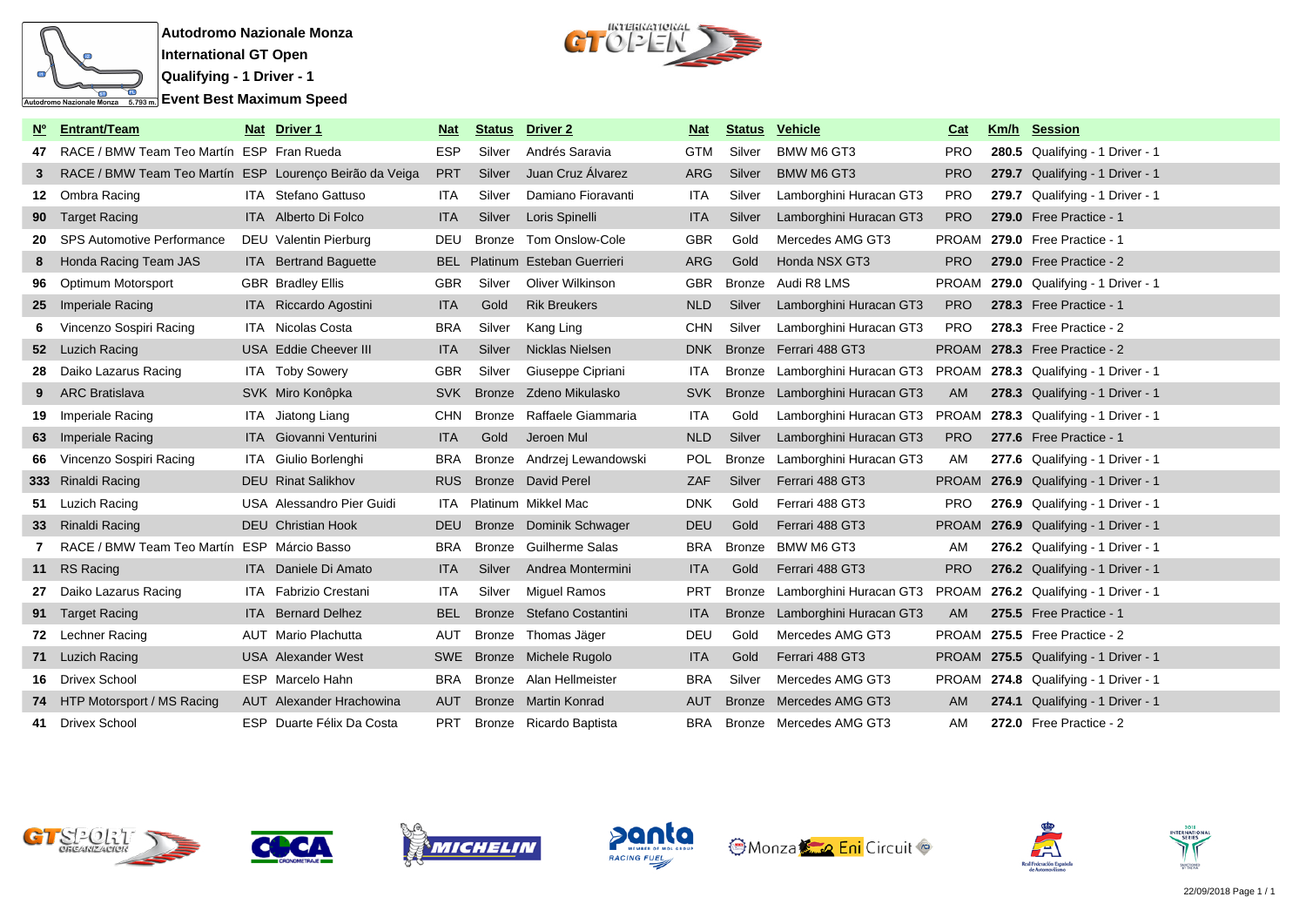



|    | <b>Entrant/Team</b>                                     | Nat | Driver <sub>1</sub>             | <b>Nat</b> | <b>Status</b> | Driver <sub>2</sub>        | <b>Nat</b> | <b>Status</b> | <b>Vehicle</b>                                                | Cat        | Km/h | <b>Session</b>                        |
|----|---------------------------------------------------------|-----|---------------------------------|------------|---------------|----------------------------|------------|---------------|---------------------------------------------------------------|------------|------|---------------------------------------|
| 47 | RACE / BMW Team Teo Martín ESP Fran Rueda               |     |                                 | <b>ESP</b> | Silver        | Andrés Saravia             | <b>GTM</b> | Silver        | BMW M6 GT3                                                    | <b>PRO</b> |      | 280.5 Qualifying - 1 Driver - 1       |
| 3  | RACE / BMW Team Teo Martín ESP Lourenço Beirão da Veiga |     |                                 | <b>PRT</b> | Silver        | Juan Cruz Álvarez          | <b>ARG</b> | Silver        | <b>BMW M6 GT3</b>                                             | <b>PRO</b> |      | 279.7 Qualifying - 1 Driver - 1       |
|    | 12 Ombra Racing                                         |     | ITA Stefano Gattuso             | ITA.       | Silver        | Damiano Fioravanti         | <b>ITA</b> | Silver        | Lamborghini Huracan GT3                                       | <b>PRO</b> |      | 279.7 Qualifying - 1 Driver - 1       |
|    | 90 Target Racing                                        |     | <b>ITA</b> Alberto Di Folco     | <b>ITA</b> | Silver        | Loris Spinelli             | <b>ITA</b> | Silver        | Lamborghini Huracan GT3                                       | <b>PRO</b> |      | 279.0 Free Practice - 1               |
| 20 | <b>SPS Automotive Performance</b>                       |     | DEU Valentin Pierburg           | DEU        | <b>Bronze</b> | Tom Onslow-Cole            | <b>GBR</b> | Gold          | Mercedes AMG GT3                                              | PROAM      |      | 279.0 Free Practice - 1               |
|    | Honda Racing Team JAS                                   |     | ITA Bertrand Baguette           | <b>BEL</b> |               | Platinum Esteban Guerrieri | ARG        | Gold          | Honda NSX GT3                                                 | <b>PRO</b> |      | 279.0 Free Practice - 2               |
| 96 | Optimum Motorsport                                      |     | <b>GBR</b> Bradley Ellis        | <b>GBR</b> | Silver        | Oliver Wilkinson           | <b>GBR</b> | Bronze        | Audi R8 LMS                                                   |            |      | PROAM 279.0 Qualifying - 1 Driver - 1 |
|    | 25 Imperiale Racing                                     |     | ITA Riccardo Agostini           | <b>ITA</b> | Gold          | <b>Rik Breukers</b>        | <b>NLD</b> | Silver        | Lamborghini Huracan GT3                                       | <b>PRO</b> |      | 278.3 Free Practice - 1               |
| 6  | Vincenzo Sospiri Racing                                 |     | ITA Nicolas Costa               | <b>BRA</b> | Silver        | Kang Ling                  | <b>CHN</b> | Silver        | Lamborghini Huracan GT3                                       | <b>PRO</b> |      | 278.3 Free Practice - 2               |
|    | 52 Luzich Racing                                        |     | USA Eddie Cheever III           | <b>ITA</b> | Silver        | Nicklas Nielsen            | <b>DNK</b> | <b>Bronze</b> | Ferrari 488 GT3                                               |            |      | PROAM 278.3 Free Practice - 2         |
|    | 28 Daiko Lazarus Racing                                 |     | <b>ITA</b> Toby Sowery          | <b>GBR</b> | Silver        | Giuseppe Cipriani          | <b>ITA</b> | Bronze        | Lamborghini Huracan GT3 PROAM 278.3 Qualifying - 1 Driver - 1 |            |      |                                       |
|    | <b>ARC Bratislava</b>                                   |     | SVK Miro Konôpka                | <b>SVK</b> | <b>Bronze</b> | Zdeno Mikulasko            | <b>SVK</b> | <b>Bronze</b> | Lamborghini Huracan GT3                                       | AM         |      | 278.3 Qualifying - 1 Driver - 1       |
| 19 | <b>Imperiale Racing</b>                                 |     | ITA Jiatong Liang               | <b>CHN</b> | <b>Bronze</b> | Raffaele Giammaria         | ITA        | Gold          | Lamborghini Huracan GT3 PROAM 278.3 Qualifying - 1 Driver - 1 |            |      |                                       |
|    | 63 Imperiale Racing                                     |     | <b>ITA</b> Giovanni Venturini   | <b>ITA</b> | Gold          | Jeroen Mul                 | <b>NLD</b> | Silver        | Lamborghini Huracan GT3                                       | <b>PRO</b> |      | 277.6 Free Practice - 1               |
| 66 | Vincenzo Sospiri Racing                                 |     | ITA Giulio Borlenghi            | <b>BRA</b> | <b>Bronze</b> | Andrzej Lewandowski        | <b>POL</b> | <b>Bronze</b> | Lamborghini Huracan GT3                                       | AM         |      | 277.6 Qualifying - 1 Driver - 1       |
|    | 333 Rinaldi Racing                                      |     | <b>DEU</b> Rinat Salikhov       | <b>RUS</b> |               | Bronze David Perel         | <b>ZAF</b> | Silver        | Ferrari 488 GT3                                               |            |      | PROAM 276.9 Qualifying - 1 Driver - 1 |
|    | 51 Luzich Racing                                        |     | USA Alessandro Pier Guidi       | ITA        |               | Platinum Mikkel Mac        | <b>DNK</b> | Gold          | Ferrari 488 GT3                                               | PRO.       |      | 276.9 Qualifying - 1 Driver - 1       |
|    | 33 Rinaldi Racing                                       |     | <b>DEU</b> Christian Hook       | <b>DEU</b> |               | Bronze Dominik Schwager    | <b>DEU</b> | Gold          | Ferrari 488 GT3                                               |            |      | PROAM 276.9 Qualifying - 1 Driver - 1 |
|    | RACE / BMW Team Teo Martín ESP Márcio Basso             |     |                                 | <b>BRA</b> | <b>Bronze</b> | <b>Guilherme Salas</b>     | <b>BRA</b> | Bronze        | BMW M6 GT3                                                    | AM         |      | 276.2 Qualifying - 1 Driver - 1       |
|    | 11 RS Racing                                            |     | <b>ITA</b> Daniele Di Amato     | <b>ITA</b> | Silver        | Andrea Montermini          | <b>ITA</b> | Gold          | Ferrari 488 GT3                                               | <b>PRO</b> |      | 276.2 Qualifying - 1 Driver - 1       |
| 27 | Daiko Lazarus Racing                                    |     | ITA Fabrizio Crestani           | ITA        | Silver        | Miguel Ramos               | <b>PRT</b> | Bronze        | Lamborghini Huracan GT3 PROAM 276.2 Qualifying - 1 Driver - 1 |            |      |                                       |
|    | 91 Target Racing                                        |     | <b>ITA</b> Bernard Delhez       | <b>BEL</b> |               | Bronze Stefano Costantini  | <b>ITA</b> | <b>Bronze</b> | Lamborghini Huracan GT3                                       | <b>AM</b>  |      | 275.5 Free Practice - 1               |
|    | 72 Lechner Racing                                       |     | AUT Mario Plachutta             | AUT        |               | Bronze Thomas Jäger        | <b>DEU</b> | Gold          | Mercedes AMG GT3                                              |            |      | PROAM 275.5 Free Practice - 2         |
|    | 71 Luzich Racing                                        |     | <b>USA</b> Alexander West       | <b>SWE</b> |               | Bronze Michele Rugolo      | <b>ITA</b> | Gold          | Ferrari 488 GT3                                               |            |      | PROAM 275.5 Qualifying - 1 Driver - 1 |
|    | 16 Drivex School                                        |     | ESP Marcelo Hahn                | <b>BRA</b> |               | Bronze Alan Hellmeister    | <b>BRA</b> | Silver        | Mercedes AMG GT3                                              |            |      | PROAM 274.8 Qualifying - 1 Driver - 1 |
|    | 74 HTP Motorsport / MS Racing                           |     | <b>AUT</b> Alexander Hrachowina | <b>AUT</b> |               | Bronze Martin Konrad       | <b>AUT</b> |               | Bronze Mercedes AMG GT3                                       | AM.        |      | 274.1 Qualifying - 1 Driver - 1       |
|    | 41 Drivex School                                        |     | ESP Duarte Félix Da Costa       | <b>PRT</b> |               | Bronze Ricardo Baptista    | BRA        |               | Bronze Mercedes AMG GT3                                       | AM         |      | 272.0 Free Practice - 2               |













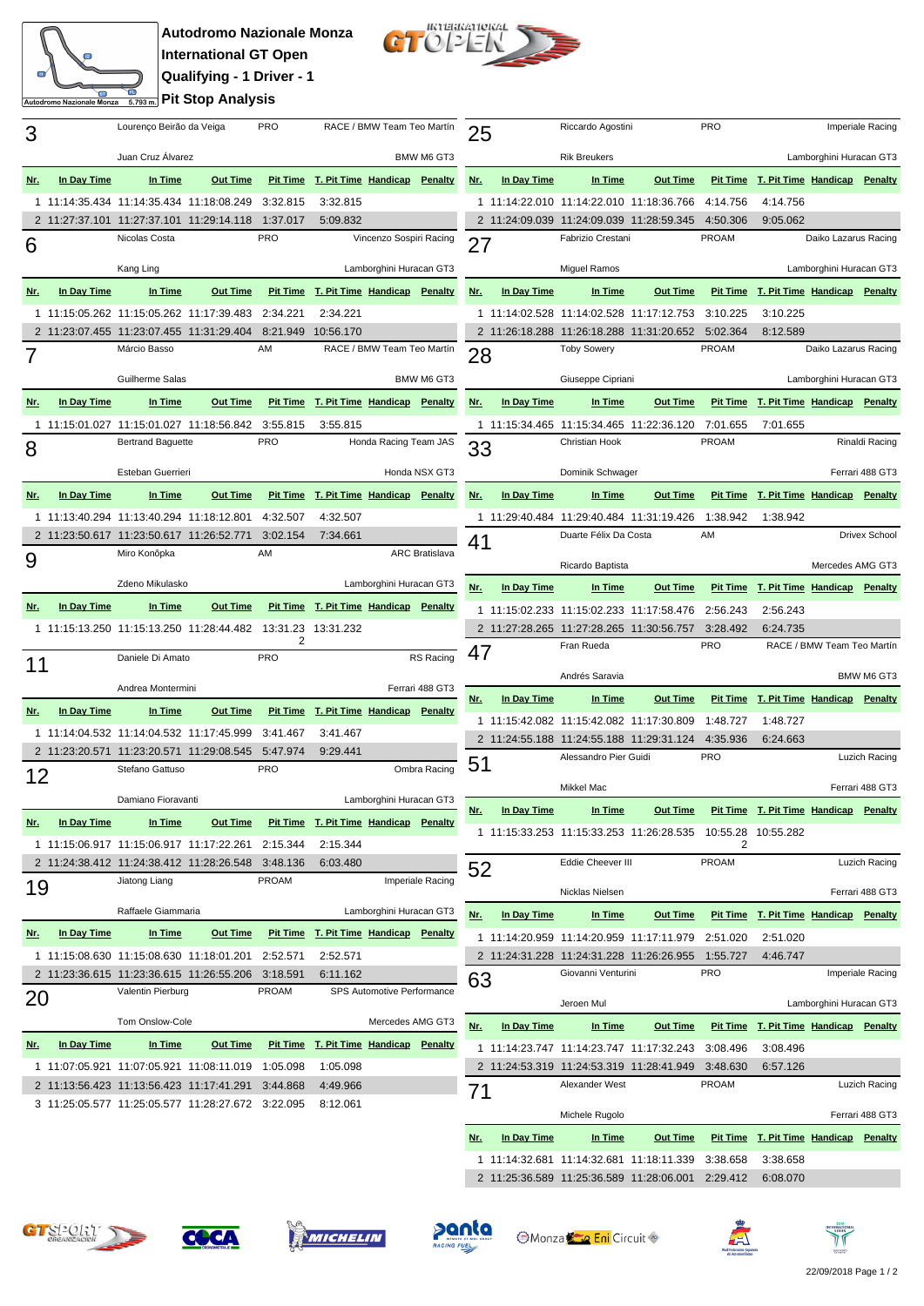## **Autodromo Nazionale Monza International GT Open Qualifying - 1 Driver - 1 Pit Stop Analysis**

Autodromo Nazionale Monza



| 3          |             | Lourenço Beirão da Veiga                 |                                          | <b>PRO</b>    | RACE / BMW Team Teo Martín            |                            |                       | 25          |                   | Rio |
|------------|-------------|------------------------------------------|------------------------------------------|---------------|---------------------------------------|----------------------------|-----------------------|-------------|-------------------|-----|
|            |             | Juan Cruz Álvarez                        |                                          |               | BMW M6 GT3                            |                            |                       | Ril         |                   |     |
| <u>Nr.</u> | In Day Time | In Time                                  | <b>Out Time</b>                          |               | Pit Time T. Pit Time Handicap Penalty |                            |                       | <u>Nr.</u>  | In Day Time       |     |
|            |             | 1 11:14:35.434 11:14:35.434 11:18:08.249 |                                          | 3:32.815      | 3:32.815                              |                            |                       |             | 1 11:14:22.010 11 |     |
|            |             | 2 11:27:37.101 11:27:37.101 11:29:14.118 |                                          | 1:37.017      | 5:09.832                              |                            |                       |             | 2 11:24:09.039 11 |     |
| 6          |             | Nicolas Costa                            |                                          | <b>PRO</b>    |                                       | Vincenzo Sospiri Racing    |                       | 27          |                   | Fa  |
|            |             | Kang Ling                                |                                          |               |                                       | Lamborghini Huracan GT3    |                       |             |                   | Mi  |
| Nr.        | In Day Time | In Time                                  | <b>Out Time</b>                          |               | Pit Time T. Pit Time Handicap Penalty |                            |                       | <u>Nr.</u>  | In Day Time       |     |
|            |             | 1 11:15:05.262 11:15:05.262 11:17:39.483 |                                          | 2:34.221      | 2:34.221                              |                            |                       |             | 1 11:14:02.528 11 |     |
|            |             | 2 11:23:07.455 11:23:07.455 11:31:29.404 |                                          | 8:21.949      | 10:56.170                             |                            |                       |             | 2 11:26:18.288 11 |     |
| 7          |             | Márcio Basso                             |                                          | AM            |                                       | RACE / BMW Team Teo Martín |                       | 28          |                   | To  |
|            |             | Guilherme Salas                          |                                          |               |                                       |                            | BMW M6 GT3            |             |                   | Gi  |
| <u>Nr.</u> | In Day Time | In Time                                  | Out Time                                 |               | Pit Time T. Pit Time Handicap Penalty |                            |                       | Nr.         | In Day Time       |     |
| 1          |             | 11:15:01.027 11:15:01.027 11:18:56.842   |                                          | 3:55.815      |                                       |                            |                       |             | 1 11:15:34.465 11 |     |
|            |             | <b>Bertrand Baquette</b>                 |                                          | <b>PRO</b>    | 3:55.815                              | Honda Racing Team JAS      |                       |             |                   | Сh  |
| 8          |             |                                          |                                          |               |                                       |                            |                       | 33          |                   |     |
|            |             | Esteban Guerrieri                        |                                          |               |                                       |                            | Honda NSX GT3         |             |                   | Dc  |
| <u>Nr.</u> | In Day Time | In Time                                  | <b>Out Time</b>                          |               | Pit Time T. Pit Time Handicap Penalty |                            |                       | Nr.         | In Day Time       |     |
|            |             | 1 11:13:40.294 11:13:40.294 11:18:12.801 |                                          | 4:32.507      | 4:32.507                              |                            |                       |             | 1 11:29:40.484 11 |     |
|            |             | 2 11:23:50.617 11:23:50.617 11:26:52.771 |                                          | 3:02.154      | 7:34.661                              |                            |                       | 41          |                   | Dυ  |
| 9          |             | Miro Konôpka                             |                                          | AM            |                                       |                            | <b>ARC Bratislava</b> |             |                   | Rio |
|            |             | Zdeno Mikulasko                          |                                          |               |                                       | Lamborghini Huracan GT3    |                       | Nr.         | In Day Time       |     |
| Nr.        | In Day Time | In Time                                  | <b>Out Time</b>                          |               | Pit Time T. Pit Time Handicap Penalty |                            |                       |             |                   |     |
|            |             |                                          |                                          |               |                                       |                            |                       |             | 1 11:15:02.233 11 |     |
|            |             |                                          | 1 11:15:13.250 11:15:13.250 11:28:44.482 | 13:31.23<br>2 | 13:31.232                             |                            |                       |             | 2 11:27:28.265 11 | Fra |
| 11         |             | Daniele Di Amato                         |                                          | <b>PRO</b>    |                                       |                            | RS Racing             | 47          |                   |     |
|            |             | Andrea Montermini                        |                                          |               |                                       |                            | Ferrari 488 GT3       |             |                   | An  |
| <u>Nr.</u> | In Day Time | In Time                                  | <b>Out Time</b>                          |               | Pit Time T. Pit Time Handicap Penalty |                            |                       | Nr.         | In Day Time       |     |
|            |             | 1 11:14:04.532 11:14:04.532 11:17:45.999 |                                          | 3:41.467      | 3:41.467                              |                            |                       |             | 1 11:15:42.082 11 |     |
|            |             | 2 11:23:20.571 11:23:20.571 11:29:08.545 |                                          | 5:47.974      | 9:29.441                              |                            |                       |             | 2 11:24:55.188 11 |     |
| 12         |             | Stefano Gattuso                          |                                          | <b>PRO</b>    |                                       |                            | Ombra Racing          | 51          |                   | Ale |
|            |             |                                          |                                          |               |                                       |                            |                       |             |                   | Mi  |
|            |             | Damiano Fioravanti                       |                                          |               |                                       | Lamborghini Huracan GT3    |                       | <u>Nr.</u>  | In Day Time       |     |
| <u>Nr.</u> | In Day Time | In Time                                  | <b>Out Time</b>                          |               | Pit Time T. Pit Time Handicap Penalty |                            |                       |             | 1 11:15:33.253 11 |     |
|            |             | 1 11:15:06.917 11:15:06.917 11:17:22.261 |                                          | 2:15.344      | 2:15.344                              |                            |                       |             |                   |     |
|            |             | 2 11:24:38.412 11:24:38.412 11:28:26.548 |                                          | 3:48.136      | 6:03.480                              |                            |                       | 52          |                   | Ed  |
| 19         |             | Jiatong Liang                            |                                          | <b>PROAM</b>  |                                       |                            | Imperiale Racing      |             |                   | Nio |
|            |             | Raffaele Giammaria                       |                                          |               | Lamborghini Huracan GT3               |                            | Nr.                   | In Day Time |                   |     |
| <u>Nr.</u> | In Day Time | In Time                                  | Out Time                                 |               | Pit Time T. Pit Time Handicap Penalty |                            |                       |             | 1 11:14:20.959 11 |     |
|            |             | 1 11:15:08.630 11:15:08.630 11:18:01.201 |                                          | 2:52.571      | 2:52.571                              |                            |                       |             | 2 11:24:31.228 11 |     |
|            |             | 2 11:23:36.615 11:23:36.615 11:26:55.206 |                                          | 3:18.591      | 6:11.162                              |                            |                       | 63          |                   | Gi  |
| 20         |             | Valentin Pierburg                        |                                          | PROAM         | SPS Automotive Performance            |                            |                       |             |                   |     |
|            |             | Tom Onslow-Cole                          |                                          |               |                                       | Mercedes AMG GT3           |                       | <u>Nr.</u>  | In Day Time       | Je  |
| <u>Nr.</u> | In Day Time | In Time                                  | Out Time                                 |               | Pit Time T. Pit Time Handicap Penalty |                            |                       |             | 1 11:14:23.747 11 |     |
|            |             | 1 11:07:05.921 11:07:05.921 11:08:11.019 |                                          | 1:05.098      | 1:05.098                              |                            |                       |             | 2 11:24:53.319 11 |     |
|            |             | 2 11:13:56.423 11:13:56.423 11:17:41.291 |                                          | 3:44.868      | 4:49.966                              |                            |                       |             |                   | Ale |
|            |             | 3 11:25:05.577 11:25:05.577 11:28:27.672 |                                          | 3:22.095      | 8:12.061                              |                            |                       | 71          |                   |     |
|            |             |                                          |                                          |               |                                       |                            |                       |             |                   | Mi  |

| 25         |             | Riccardo Agostini                                               |                 | Imperiale Racing         |                                       |                            |                      |  |  |
|------------|-------------|-----------------------------------------------------------------|-----------------|--------------------------|---------------------------------------|----------------------------|----------------------|--|--|
|            |             | <b>Rik Breukers</b>                                             |                 |                          |                                       | Lamborghini Huracan GT3    |                      |  |  |
| <u>Nr.</u> | In Day Time | In Time                                                         | <b>Out Time</b> |                          | Pit Time T. Pit Time Handicap Penalty |                            |                      |  |  |
|            |             | 1 11:14:22.010 11:14:22.010 11:18:36.766                        |                 | 4:14.756                 | 4:14.756                              |                            |                      |  |  |
|            |             | 2 11:24:09.039 11:24:09.039 11:28:59.345                        |                 | 4:50.306                 | 9:05.062                              |                            |                      |  |  |
| 27         |             | Fabrizio Crestani                                               |                 | <b>PROAM</b>             |                                       | Daiko Lazarus Racing       |                      |  |  |
|            |             |                                                                 |                 |                          | Lamborghini Huracan GT3               |                            |                      |  |  |
|            |             | Miguel Ramos                                                    |                 |                          |                                       |                            |                      |  |  |
| <u>Nr.</u> | In Day Time | In Time                                                         | <b>Out Time</b> | <b>Pit Time</b>          | T. Pit Time Handicap Penalty          |                            |                      |  |  |
|            |             | 1 11:14:02.528 11:14:02.528 11:17:12.753                        |                 | 3:10.225                 | 3:10.225                              |                            |                      |  |  |
|            |             | 2 11:26:18.288 11:26:18.288 11:31:20.652<br><b>Toby Sowery</b>  |                 | 5:02.364<br><b>PROAM</b> | 8:12.589                              | Daiko Lazarus Racing       |                      |  |  |
| 28         |             |                                                                 |                 |                          |                                       |                            |                      |  |  |
|            |             | Giuseppe Cipriani                                               |                 |                          |                                       | Lamborghini Huracan GT3    |                      |  |  |
| <u>Nr.</u> | In Day Time | In Time                                                         | Out Time        | <b>Pit Time</b>          | T. Pit Time Handicap Penalty          |                            |                      |  |  |
| 1          |             | 11:15:34.465 11:15:34.465 11:22:36.120                          |                 | 7:01.655                 | 7:01.655                              |                            |                      |  |  |
| 33         |             | Christian Hook                                                  |                 | <b>PROAM</b>             |                                       |                            | Rinaldi Racing       |  |  |
|            |             | Dominik Schwager                                                |                 |                          |                                       | Ferrari 488 GT3            |                      |  |  |
| <u>Nr.</u> | In Day Time | In Time                                                         | Out Time        |                          | Pit Time T. Pit Time Handicap Penalty |                            |                      |  |  |
|            |             |                                                                 |                 |                          |                                       |                            |                      |  |  |
| 1          |             | 11:29:40.484 11:29:40.484 11:31:19.426<br>Duarte Félix Da Costa |                 | 1:38.942<br>AM           | 1:38.942                              |                            | <b>Drivex School</b> |  |  |
| 41         |             |                                                                 |                 |                          |                                       |                            |                      |  |  |
|            |             | Ricardo Baptista                                                |                 |                          |                                       | Mercedes AMG GT3           |                      |  |  |
| <u>Nr.</u> | In Day Time | In Time                                                         | Out Time        |                          | Pit Time T. Pit Time Handicap Penalty |                            |                      |  |  |
| 1          |             | 11:15:02.233 11:15:02.233 11:17:58.476                          |                 | 2:56.243                 | 2:56.243                              |                            |                      |  |  |
|            |             | 2 11:27:28.265 11:27:28.265 11:30:56.757                        |                 | 3:28.492                 | 6:24.735                              |                            |                      |  |  |
| 47         |             | Fran Rueda                                                      |                 | <b>PRO</b>               |                                       | RACE / BMW Team Teo Martín |                      |  |  |
|            |             | Andrés Saravia                                                  |                 |                          |                                       |                            | BMW M6 GT3           |  |  |
|            |             |                                                                 |                 |                          |                                       |                            |                      |  |  |
| <u>Nr.</u> | In Day Time | In Time                                                         | Out Time        |                          | Pit Time T. Pit Time Handicap Penalty |                            |                      |  |  |
| 1          |             | 11:15:42.082 11:15:42.082 11:17:30.809                          |                 | 1:48.727                 | 1:48.727                              |                            |                      |  |  |
|            |             | 2 11:24:55.188 11:24:55.188 11:29:31.124                        |                 | 4:35.936                 | 6:24.663                              |                            |                      |  |  |
| 51         |             | Alessandro Pier Guidi                                           |                 | <b>PRO</b>               |                                       |                            | Luzich Racing        |  |  |
|            |             | Mikkel Mac                                                      |                 |                          |                                       |                            | Ferrari 488 GT3      |  |  |
| <u>Nr.</u> | In Day Time | In Time                                                         | <b>Out Time</b> |                          | Pit Time T. Pit Time Handicap Penalty |                            |                      |  |  |
|            |             |                                                                 |                 |                          |                                       |                            |                      |  |  |
|            |             | 1 11:15:33.253 11:15:33.253 11:26:28.535                        |                 | 10:55.28<br>2            | 10:55.282                             |                            |                      |  |  |
| 52         |             | Eddie Cheever III                                               |                 | <b>PROAM</b>             |                                       |                            | Luzich Racing        |  |  |
|            |             | Nicklas Nielsen                                                 |                 |                          |                                       |                            | Ferrari 488 GT3      |  |  |
| <u>Nr.</u> | In Day Time | In Time                                                         | Out Time        | <b>Pit Time</b>          | T. Pit Time Handicap                  |                            | <b>Penalty</b>       |  |  |
| 1          |             | 11:14:20.959 11:14:20.959 11:17:11.979                          |                 | 2:51.020                 | 2:51.020                              |                            |                      |  |  |
| 2          |             | 11:24:31.228 11:24:31.228 11:26:26.955                          |                 | 1:55.727                 | 4:46.747                              |                            |                      |  |  |
|            |             | Giovanni Venturini                                              |                 | <b>PRO</b>               |                                       |                            | Imperiale Racing     |  |  |
| 63         |             |                                                                 |                 |                          |                                       |                            |                      |  |  |
|            |             | Jeroen Mul                                                      |                 |                          |                                       | Lamborghini Huracan GT3    |                      |  |  |
| <u>Nr.</u> | In Day Time | In Time                                                         | <b>Out Time</b> | <b>Pit Time</b>          | T. Pit Time Handicap                  |                            | Penalty              |  |  |
| 1          |             | 11:14:23.747 11:14:23.747 11:17:32.243                          |                 | 3:08.496                 | 3:08.496                              |                            |                      |  |  |
| 2          |             | 11:24:53.319 11:24:53.319 11:28:41.949                          |                 | 3:48.630                 | 6:57.126                              |                            |                      |  |  |
| 71         |             | Alexander West                                                  |                 | <b>PROAM</b>             |                                       |                            | Luzich Racing        |  |  |
|            |             | Michele Rugolo                                                  |                 |                          |                                       |                            | Ferrari 488 GT3      |  |  |
| <u>Nr.</u> | In Day Time | In Time                                                         | <b>Out Time</b> | <b>Pit Time</b>          | <b>T. Pit Time Handicap</b>           |                            | Penalty              |  |  |
| 1          |             | 11:14:32.681  11:14:32.681  11:18:11.339                        |                 | 3:38.658                 | 3:38.658                              |                            |                      |  |  |
|            |             | 2 11:25:36.589 11:25:36.589 11:28:06.001                        |                 | 2:29.412                 | 6:08.070                              |                            |                      |  |  |











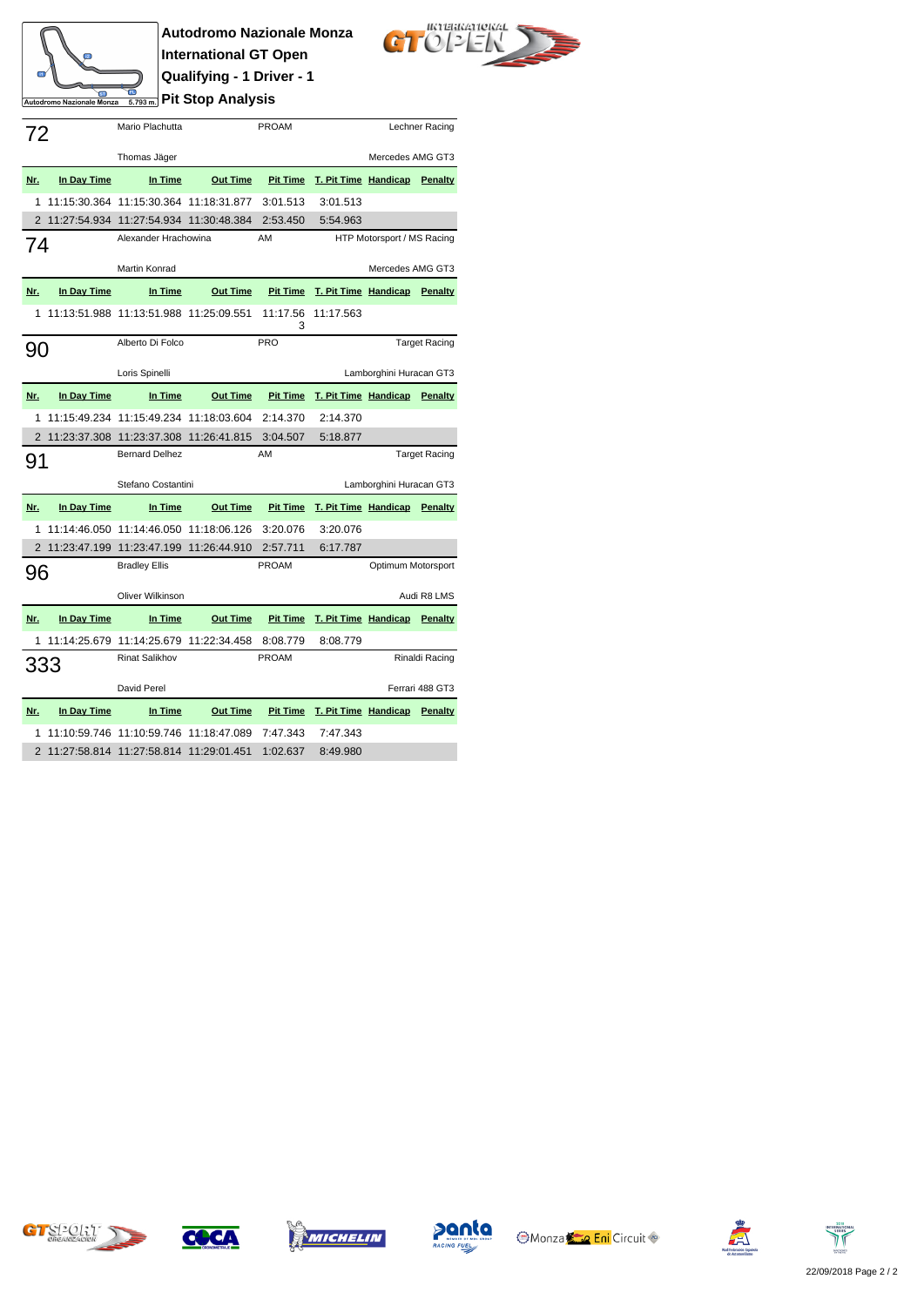## **Autodromo Nazionale Monza International GT Open Qualifying - 1 Driver - 1** Autodromo Nazionale Monza **<u><b>Pit Stop Analysis**</u>

 $\mathbb{R}^2$ 



|              |              | Mario Plachutta                          |                 | <b>PROAM</b>    |                                              | Lechner Racing             |                      |  |  |
|--------------|--------------|------------------------------------------|-----------------|-----------------|----------------------------------------------|----------------------------|----------------------|--|--|
| 72           |              |                                          |                 |                 |                                              |                            |                      |  |  |
|              |              | Thomas Jäger                             |                 |                 |                                              |                            | Mercedes AMG GT3     |  |  |
| Nr.          | In Day Time  | In Time                                  | <b>Out Time</b> |                 | <b>Pit Time T. Pit Time Handicap Penalty</b> |                            |                      |  |  |
| 1            |              | 11:15:30.364 11:15:30.364 11:18:31.877   |                 | 3:01.513        | 3:01.513                                     |                            |                      |  |  |
|              |              | 2 11:27:54.934 11:27:54.934 11:30:48.384 |                 | 2:53.450        | 5:54.963                                     |                            |                      |  |  |
| 74           |              | Alexander Hrachowina                     |                 | AM              |                                              | HTP Motorsport / MS Racing |                      |  |  |
|              |              | Martin Konrad                            |                 |                 |                                              | Mercedes AMG GT3           |                      |  |  |
|              |              |                                          |                 |                 |                                              |                            |                      |  |  |
| Nr.          | In Day Time  | In Time                                  | <b>Out Time</b> | <b>Pit Time</b> | T. Pit Time Handicap Penalty                 |                            |                      |  |  |
| $\mathbf{1}$ |              | 11:13:51.988 11:13:51.988 11:25:09.551   |                 | 11:17.56<br>3   | 11:17.563                                    |                            |                      |  |  |
| 90           |              | Alberto Di Folco                         |                 | PRO             |                                              |                            | <b>Target Racing</b> |  |  |
|              |              | Loris Spinelli                           |                 |                 | Lamborghini Huracan GT3                      |                            |                      |  |  |
| <u>Nr.</u>   | In Day Time  | In Time                                  | <b>Out Time</b> | <b>Pit Time</b> | T. Pit Time Handicap Penalty                 |                            |                      |  |  |
| 1            |              | 11:15:49.234 11:15:49.234 11:18:03.604   |                 | 2:14.370        | 2:14.370                                     |                            |                      |  |  |
|              |              | 2 11:23:37.308 11:23:37.308 11:26:41.815 |                 | 3:04.507        | 5:18.877                                     |                            |                      |  |  |
| 91           |              | AM<br><b>Bernard Delhez</b>              |                 |                 | <b>Target Racing</b>                         |                            |                      |  |  |
|              |              | Stefano Costantini                       |                 |                 |                                              | Lamborghini Huracan GT3    |                      |  |  |
|              |              |                                          |                 |                 |                                              |                            |                      |  |  |
| Nr.          | In Day Time  | In Time                                  | <b>Out Time</b> | <b>Pit Time</b> | T. Pit Time Handicap Penalty                 |                            |                      |  |  |
| 1            |              | 11:14:46.050 11:14:46.050 11:18:06.126   |                 | 3:20.076        | 3:20.076                                     |                            |                      |  |  |
|              |              | 2 11:23:47.199 11:23:47.199 11:26:44.910 |                 | 2:57.711        | 6:17.787                                     |                            |                      |  |  |
| 96           |              | <b>Bradley Ellis</b>                     |                 | <b>PROAM</b>    |                                              | Optimum Motorsport         |                      |  |  |
|              |              | Oliver Wilkinson                         |                 |                 |                                              |                            | Audi R8 LMS          |  |  |
| Nr.          | In Day Time  | In Time                                  | <b>Out Time</b> | <b>Pit Time</b> | T. Pit Time Handicap                         |                            | Penalty              |  |  |
| 1            | 11:14:25.679 | 11:14:25.679 11:22:34.458                |                 | 8:08.779        | 8:08.779                                     |                            |                      |  |  |
|              |              |                                          |                 | <b>PROAM</b>    |                                              |                            | Rinaldi Racing       |  |  |
| 333          |              |                                          |                 |                 |                                              |                            |                      |  |  |
|              |              | <b>Rinat Salikhov</b>                    |                 |                 |                                              |                            |                      |  |  |
|              |              | David Perel                              |                 |                 |                                              |                            | Ferrari 488 GT3      |  |  |
| Nr.          | In Day Time  | In Time                                  | <b>Out Time</b> | <b>Pit Time</b> | T. Pit Time Handicap                         |                            | Penalty              |  |  |
| 1            |              | 11:10:59.746 11:10:59.746 11:18:47.089   |                 | 7:47.343        | 7:47.343                                     |                            |                      |  |  |